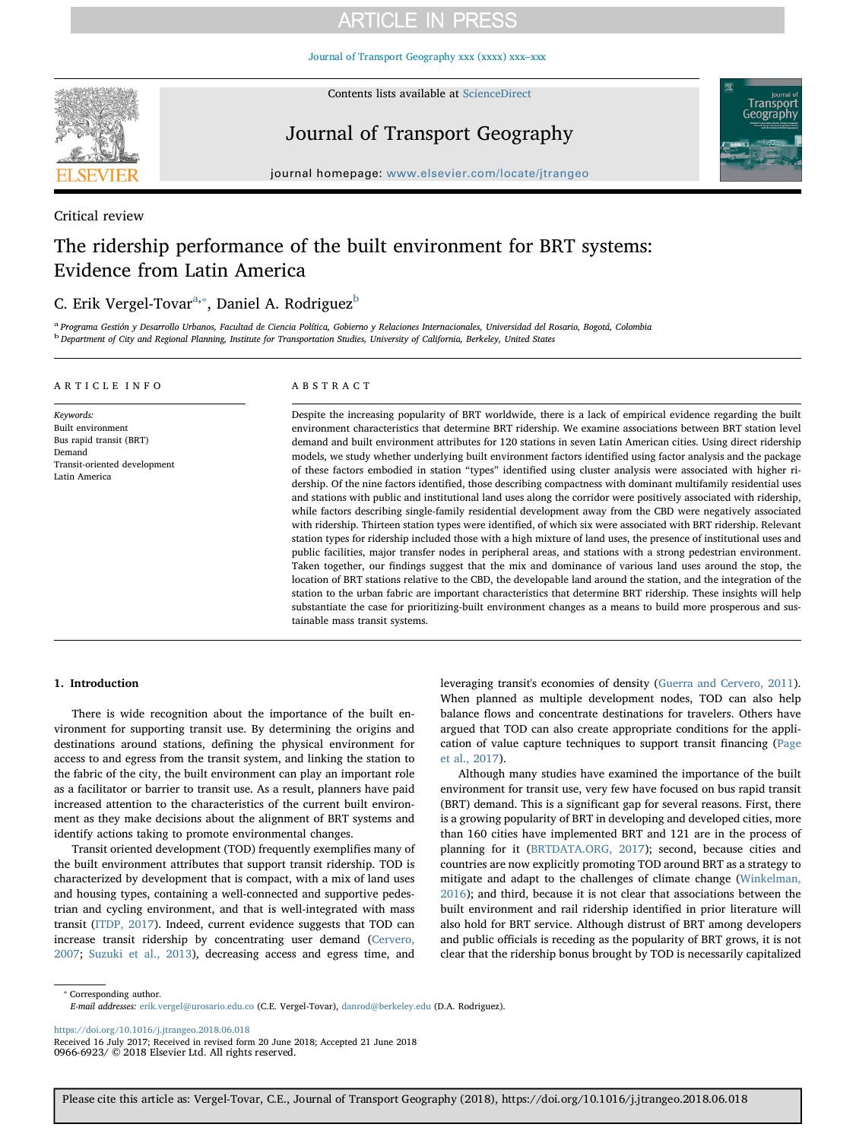[Journal of Transport Geography xxx \(xxxx\) xxx–xxx](https://doi.org/10.1016/j.jtrangeo.2018.06.018)



Critical review

Contents lists available at [ScienceDirect](http://www.sciencedirect.com/science/journal/09666923)

## Journal of Transport Geography



journal homepage: [www.elsevier.com/locate/jtrangeo](https://www.elsevier.com/locate/jtrangeo)

# The ridership performance of the built environment for BRT systems: Evidence from Latin America

## C. Erik Vergel-Tov[a](#page-0-0)r<sup>a,</sup>\*, Daniel A. Rodriguez<sup>[b](#page-0-2)</sup>

<span id="page-0-2"></span><span id="page-0-0"></span><sup>a</sup> Programa Gestión y Desarrollo Urbanos, Facultad de Ciencia Política, Gobierno y Relaciones Internacionales, Universidad del Rosario, Bogotá, Colombia b Department of City and Regional Planning, Institute for Transportation Studies, University of California, Berkeley, United States

### ARTICLE INFO

Keywords: Built environment Bus rapid transit (BRT) Demand Transit-oriented development Latin America

### ABSTRACT

Despite the increasing popularity of BRT worldwide, there is a lack of empirical evidence regarding the built environment characteristics that determine BRT ridership. We examine associations between BRT station level demand and built environment attributes for 120 stations in seven Latin American cities. Using direct ridership models, we study whether underlying built environment factors identified using factor analysis and the package of these factors embodied in station "types" identified using cluster analysis were associated with higher ridership. Of the nine factors identified, those describing compactness with dominant multifamily residential uses and stations with public and institutional land uses along the corridor were positively associated with ridership, while factors describing single-family residential development away from the CBD were negatively associated with ridership. Thirteen station types were identified, of which six were associated with BRT ridership. Relevant station types for ridership included those with a high mixture of land uses, the presence of institutional uses and public facilities, major transfer nodes in peripheral areas, and stations with a strong pedestrian environment. Taken together, our findings suggest that the mix and dominance of various land uses around the stop, the location of BRT stations relative to the CBD, the developable land around the station, and the integration of the station to the urban fabric are important characteristics that determine BRT ridership. These insights will help substantiate the case for prioritizing-built environment changes as a means to build more prosperous and sustainable mass transit systems.

### 1. Introduction

There is wide recognition about the importance of the built environment for supporting transit use. By determining the origins and destinations around stations, defining the physical environment for access to and egress from the transit system, and linking the station to the fabric of the city, the built environment can play an important role as a facilitator or barrier to transit use. As a result, planners have paid increased attention to the characteristics of the current built environment as they make decisions about the alignment of BRT systems and identify actions taking to promote environmental changes.

Transit oriented development (TOD) frequently exemplifies many of the built environment attributes that support transit ridership. TOD is characterized by development that is compact, with a mix of land uses and housing types, containing a well-connected and supportive pedestrian and cycling environment, and that is well-integrated with mass transit [\(ITDP, 2017](#page-12-0)). Indeed, current evidence suggests that TOD can increase transit ridership by concentrating user demand ([Cervero,](#page-12-1) [2007;](#page-12-1) [Suzuki et al., 2013\)](#page-12-2), decreasing access and egress time, and

leveraging transit's economies of density [\(Guerra and Cervero, 2011](#page-12-3)). When planned as multiple development nodes, TOD can also help balance flows and concentrate destinations for travelers. Others have argued that TOD can also create appropriate conditions for the application of value capture techniques to support transit financing ([Page](#page-12-4) [et al., 2017](#page-12-4)).

Although many studies have examined the importance of the built environment for transit use, very few have focused on bus rapid transit (BRT) demand. This is a significant gap for several reasons. First, there is a growing popularity of BRT in developing and developed cities, more than 160 cities have implemented BRT and 121 are in the process of planning for it [\(BRTDATA.ORG, 2017\)](#page-12-5); second, because cities and countries are now explicitly promoting TOD around BRT as a strategy to mitigate and adapt to the challenges of climate change [\(Winkelman,](#page-12-6) [2016\)](#page-12-6); and third, because it is not clear that associations between the built environment and rail ridership identified in prior literature will also hold for BRT service. Although distrust of BRT among developers and public officials is receding as the popularity of BRT grows, it is not clear that the ridership bonus brought by TOD is necessarily capitalized

<span id="page-0-1"></span>⁎ Corresponding author. E-mail addresses: [erik.vergel@urosario.edu.co](mailto:erik.vergel@urosario.edu.co) (C.E. Vergel-Tovar), [danrod@berkeley.edu](mailto:danrod@berkeley.edu) (D.A. Rodriguez).

<https://doi.org/10.1016/j.jtrangeo.2018.06.018>

Received 16 July 2017; Received in revised form 20 June 2018; Accepted 21 June 2018 0966-6923/ © 2018 Elsevier Ltd. All rights reserved.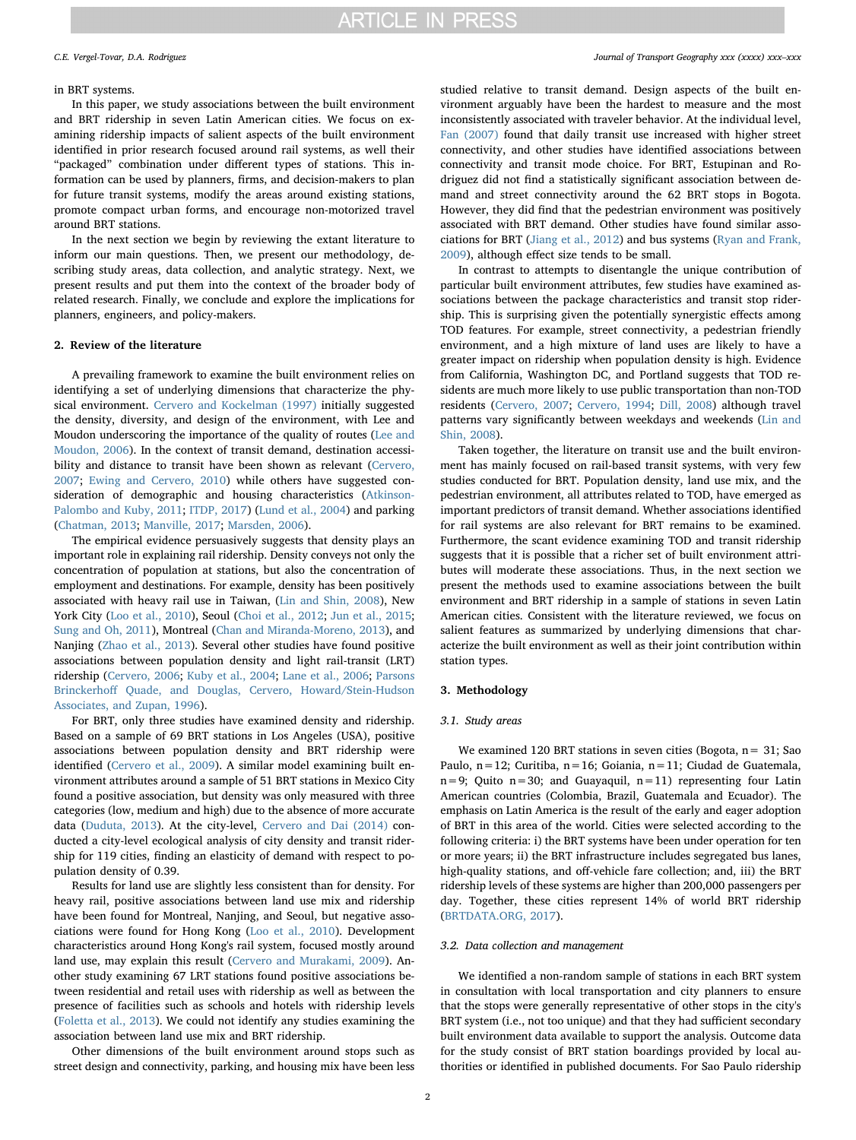### in BRT systems.

In this paper, we study associations between the built environment and BRT ridership in seven Latin American cities. We focus on examining ridership impacts of salient aspects of the built environment identified in prior research focused around rail systems, as well their "packaged" combination under different types of stations. This information can be used by planners, firms, and decision-makers to plan for future transit systems, modify the areas around existing stations, promote compact urban forms, and encourage non-motorized travel around BRT stations.

In the next section we begin by reviewing the extant literature to inform our main questions. Then, we present our methodology, describing study areas, data collection, and analytic strategy. Next, we present results and put them into the context of the broader body of related research. Finally, we conclude and explore the implications for planners, engineers, and policy-makers.

### 2. Review of the literature

A prevailing framework to examine the built environment relies on identifying a set of underlying dimensions that characterize the physical environment. [Cervero and Kockelman \(1997\)](#page-12-7) initially suggested the density, diversity, and design of the environment, with Lee and Moudon underscoring the importance of the quality of routes [\(Lee and](#page-12-8) [Moudon, 2006\)](#page-12-8). In the context of transit demand, destination accessi-bility and distance to transit have been shown as relevant ([Cervero,](#page-12-1) [2007;](#page-12-1) [Ewing and Cervero, 2010](#page-12-9)) while others have suggested consideration of demographic and housing characteristics ([Atkinson-](#page-12-10)[Palombo and Kuby, 2011](#page-12-10); [ITDP, 2017](#page-12-0)) [\(Lund et al., 2004\)](#page-12-11) and parking ([Chatman, 2013](#page-12-12); [Manville, 2017;](#page-12-13) [Marsden, 2006\)](#page-12-14).

The empirical evidence persuasively suggests that density plays an important role in explaining rail ridership. Density conveys not only the concentration of population at stations, but also the concentration of employment and destinations. For example, density has been positively associated with heavy rail use in Taiwan, ([Lin and Shin, 2008](#page-12-15)), New York City ([Loo et al., 2010](#page-12-16)), Seoul ([Choi et al., 2012](#page-12-17); [Jun et al., 2015](#page-12-18); [Sung and Oh, 2011\)](#page-12-19), Montreal [\(Chan and Miranda-Moreno, 2013](#page-12-20)), and Nanjing [\(Zhao et al., 2013\)](#page-12-21). Several other studies have found positive associations between population density and light rail-transit (LRT) ridership ([Cervero, 2006](#page-12-22); [Kuby et al., 2004;](#page-12-23) [Lane et al., 2006;](#page-12-24) [Parsons](#page-12-25) Brinckerhoff [Quade, and Douglas, Cervero, Howard/Stein-Hudson](#page-12-25) [Associates, and Zupan, 1996](#page-12-25)).

For BRT, only three studies have examined density and ridership. Based on a sample of 69 BRT stations in Los Angeles (USA), positive associations between population density and BRT ridership were identified [\(Cervero et al., 2009\)](#page-12-26). A similar model examining built environment attributes around a sample of 51 BRT stations in Mexico City found a positive association, but density was only measured with three categories (low, medium and high) due to the absence of more accurate data ([Duduta, 2013](#page-12-27)). At the city-level, [Cervero and Dai \(2014\)](#page-12-28) conducted a city-level ecological analysis of city density and transit ridership for 119 cities, finding an elasticity of demand with respect to population density of 0.39.

Results for land use are slightly less consistent than for density. For heavy rail, positive associations between land use mix and ridership have been found for Montreal, Nanjing, and Seoul, but negative associations were found for Hong Kong [\(Loo et al., 2010](#page-12-16)). Development characteristics around Hong Kong's rail system, focused mostly around land use, may explain this result ([Cervero and Murakami, 2009\)](#page-12-29). Another study examining 67 LRT stations found positive associations between residential and retail uses with ridership as well as between the presence of facilities such as schools and hotels with ridership levels ([Foletta et al., 2013](#page-12-30)). We could not identify any studies examining the association between land use mix and BRT ridership.

Other dimensions of the built environment around stops such as street design and connectivity, parking, and housing mix have been less

### C.E. Vergel-Tovar, D.A. Rodriguez *Journal of Transport Geography xxx (xxxx) xxx–xxx*

studied relative to transit demand. Design aspects of the built environment arguably have been the hardest to measure and the most inconsistently associated with traveler behavior. At the individual level, [Fan \(2007\)](#page-12-31) found that daily transit use increased with higher street connectivity, and other studies have identified associations between connectivity and transit mode choice. For BRT, Estupinan and Rodriguez did not find a statistically significant association between demand and street connectivity around the 62 BRT stops in Bogota. However, they did find that the pedestrian environment was positively associated with BRT demand. Other studies have found similar associations for BRT [\(Jiang et al., 2012](#page-12-32)) and bus systems [\(Ryan and Frank,](#page-12-33) [2009\)](#page-12-33), although effect size tends to be small.

In contrast to attempts to disentangle the unique contribution of particular built environment attributes, few studies have examined associations between the package characteristics and transit stop ridership. This is surprising given the potentially synergistic effects among TOD features. For example, street connectivity, a pedestrian friendly environment, and a high mixture of land uses are likely to have a greater impact on ridership when population density is high. Evidence from California, Washington DC, and Portland suggests that TOD residents are much more likely to use public transportation than non-TOD residents ([Cervero, 2007](#page-12-1); [Cervero, 1994](#page-12-34); [Dill, 2008\)](#page-12-35) although travel patterns vary significantly between weekdays and weekends [\(Lin and](#page-12-15) [Shin, 2008](#page-12-15)).

Taken together, the literature on transit use and the built environment has mainly focused on rail-based transit systems, with very few studies conducted for BRT. Population density, land use mix, and the pedestrian environment, all attributes related to TOD, have emerged as important predictors of transit demand. Whether associations identified for rail systems are also relevant for BRT remains to be examined. Furthermore, the scant evidence examining TOD and transit ridership suggests that it is possible that a richer set of built environment attributes will moderate these associations. Thus, in the next section we present the methods used to examine associations between the built environment and BRT ridership in a sample of stations in seven Latin American cities. Consistent with the literature reviewed, we focus on salient features as summarized by underlying dimensions that characterize the built environment as well as their joint contribution within station types.

### 3. Methodology

### 3.1. Study areas

We examined 120 BRT stations in seven cities (Bogota, n = 31; Sao Paulo, n=12; Curitiba, n=16; Goiania, n=11; Ciudad de Guatemala,  $n=9$ ; Quito  $n=30$ ; and Guayaquil,  $n=11$ ) representing four Latin American countries (Colombia, Brazil, Guatemala and Ecuador). The emphasis on Latin America is the result of the early and eager adoption of BRT in this area of the world. Cities were selected according to the following criteria: i) the BRT systems have been under operation for ten or more years; ii) the BRT infrastructure includes segregated bus lanes, high-quality stations, and off-vehicle fare collection; and, iii) the BRT ridership levels of these systems are higher than 200,000 passengers per day. Together, these cities represent 14% of world BRT ridership ([BRTDATA.ORG, 2017](#page-12-5)).

### 3.2. Data collection and management

We identified a non-random sample of stations in each BRT system in consultation with local transportation and city planners to ensure that the stops were generally representative of other stops in the city's BRT system (i.e., not too unique) and that they had sufficient secondary built environment data available to support the analysis. Outcome data for the study consist of BRT station boardings provided by local authorities or identified in published documents. For Sao Paulo ridership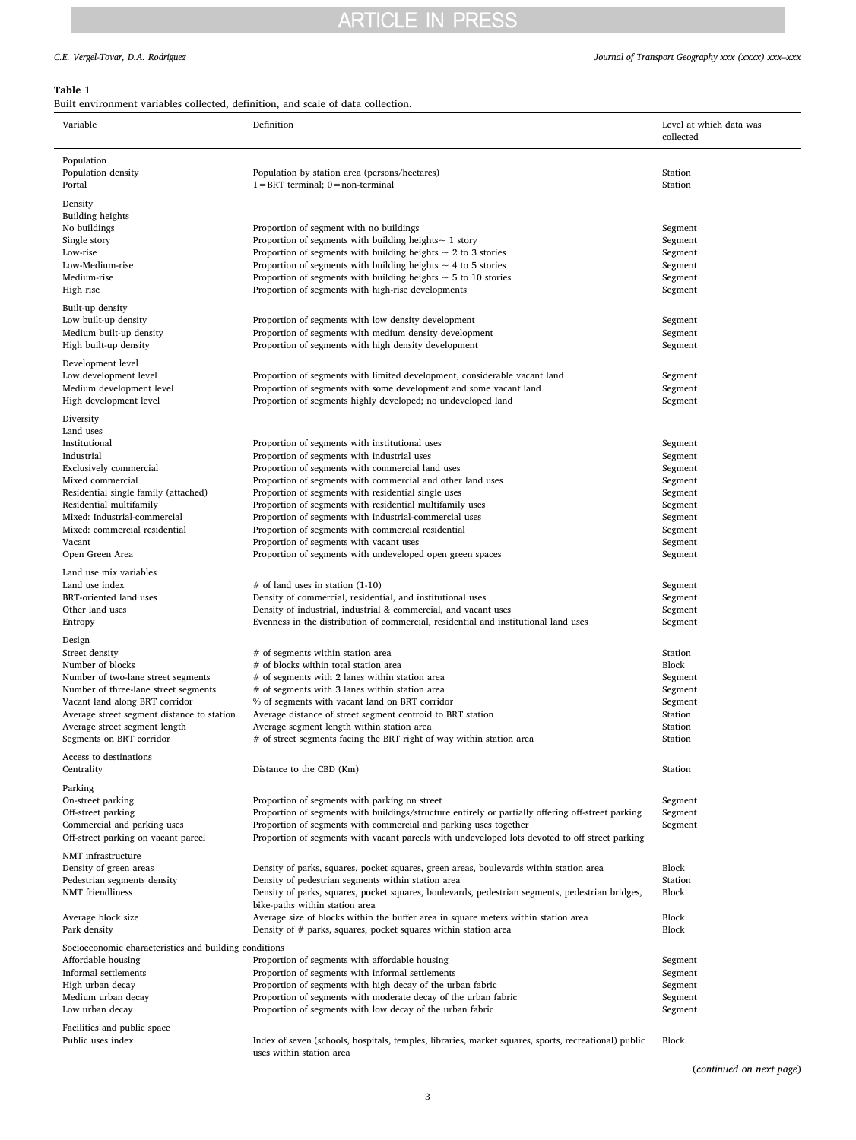## <span id="page-2-0"></span>Table 1

Built environment variables collected, definition, and scale of data collection.

| Variable                                              | Definition                                                                                                                    | Level at which data was<br>collected |
|-------------------------------------------------------|-------------------------------------------------------------------------------------------------------------------------------|--------------------------------------|
| Population                                            |                                                                                                                               |                                      |
| Population density                                    | Population by station area (persons/hectares)                                                                                 | Station                              |
| Portal                                                | $1 = BRT$ terminal; $0 =$ non-terminal                                                                                        | Station                              |
| Density                                               |                                                                                                                               |                                      |
| Building heights                                      |                                                                                                                               |                                      |
| No buildings                                          | Proportion of segment with no buildings<br>Proportion of segments with building heights $\sim 1$ story                        | Segment<br>Segment                   |
| Single story<br>Low-rise                              | Proportion of segments with building heights $\sim$ 2 to 3 stories                                                            | Segment                              |
| Low-Medium-rise                                       | Proportion of segments with building heights $\sim$ 4 to 5 stories                                                            | Segment                              |
| Medium-rise                                           | Proportion of segments with building heights $\sim$ 5 to 10 stories                                                           | Segment                              |
| High rise                                             | Proportion of segments with high-rise developments                                                                            | Segment                              |
| Built-up density                                      |                                                                                                                               |                                      |
| Low built-up density                                  | Proportion of segments with low density development                                                                           | Segment                              |
| Medium built-up density                               | Proportion of segments with medium density development                                                                        | Segment                              |
| High built-up density                                 | Proportion of segments with high density development                                                                          | Segment                              |
| Development level                                     |                                                                                                                               |                                      |
| Low development level                                 | Proportion of segments with limited development, considerable vacant land                                                     | Segment                              |
| Medium development level                              | Proportion of segments with some development and some vacant land                                                             | Segment                              |
| High development level                                | Proportion of segments highly developed; no undeveloped land                                                                  | Segment                              |
| Diversity                                             |                                                                                                                               |                                      |
| Land uses                                             |                                                                                                                               |                                      |
| Institutional                                         | Proportion of segments with institutional uses                                                                                | Segment                              |
| Industrial                                            | Proportion of segments with industrial uses                                                                                   | Segment                              |
| Exclusively commercial                                | Proportion of segments with commercial land uses                                                                              | Segment                              |
| Mixed commercial                                      | Proportion of segments with commercial and other land uses                                                                    | Segment                              |
| Residential single family (attached)                  | Proportion of segments with residential single uses                                                                           | Segment                              |
| Residential multifamily                               | Proportion of segments with residential multifamily uses                                                                      | Segment                              |
| Mixed: Industrial-commercial                          | Proportion of segments with industrial-commercial uses                                                                        | Segment                              |
| Mixed: commercial residential                         | Proportion of segments with commercial residential                                                                            | Segment                              |
| Vacant<br>Open Green Area                             | Proportion of segments with vacant uses<br>Proportion of segments with undeveloped open green spaces                          | Segment<br>Segment                   |
|                                                       |                                                                                                                               |                                      |
| Land use mix variables                                |                                                                                                                               |                                      |
| Land use index                                        | $#$ of land uses in station $(1-10)$                                                                                          | Segment                              |
| BRT-oriented land uses<br>Other land uses             | Density of commercial, residential, and institutional uses<br>Density of industrial, industrial & commercial, and vacant uses | Segment<br>Segment                   |
| Entropy                                               | Evenness in the distribution of commercial, residential and institutional land uses                                           | Segment                              |
|                                                       |                                                                                                                               |                                      |
| Design                                                |                                                                                                                               | Station                              |
| Street density<br>Number of blocks                    | # of segments within station area<br># of blocks within total station area                                                    | Block                                |
| Number of two-lane street segments                    | # of segments with 2 lanes within station area                                                                                | Segment                              |
| Number of three-lane street segments                  | # of segments with 3 lanes within station area                                                                                | Segment                              |
| Vacant land along BRT corridor                        | % of segments with vacant land on BRT corridor                                                                                | Segment                              |
| Average street segment distance to station            | Average distance of street segment centroid to BRT station                                                                    | Station                              |
| Average street segment length                         | Average segment length within station area                                                                                    | Station                              |
| Segments on BRT corridor                              | # of street segments facing the BRT right of way within station area                                                          | Station                              |
| Access to destinations                                |                                                                                                                               |                                      |
| Centrality                                            | Distance to the CBD (Km)                                                                                                      | Station                              |
| Parking                                               |                                                                                                                               |                                      |
| On-street parking                                     | Proportion of segments with parking on street                                                                                 | Segment                              |
| Off-street parking                                    | Proportion of segments with buildings/structure entirely or partially offering off-street parking                             | Segment                              |
| Commercial and parking uses                           | Proportion of segments with commercial and parking uses together                                                              | Segment                              |
| Off-street parking on vacant parcel                   | Proportion of segments with vacant parcels with undeveloped lots devoted to off street parking                                |                                      |
| NMT infrastructure                                    |                                                                                                                               |                                      |
| Density of green areas                                | Density of parks, squares, pocket squares, green areas, boulevards within station area                                        | Block                                |
| Pedestrian segments density                           | Density of pedestrian segments within station area                                                                            | Station                              |
| <b>NMT</b> friendliness                               | Density of parks, squares, pocket squares, boulevards, pedestrian segments, pedestrian bridges,                               | Block                                |
|                                                       | bike-paths within station area<br>Average size of blocks within the buffer area in square meters within station area          |                                      |
| Average block size<br>Park density                    | Density of # parks, squares, pocket squares within station area                                                               | Block<br>Block                       |
|                                                       |                                                                                                                               |                                      |
| Socioeconomic characteristics and building conditions |                                                                                                                               |                                      |
| Affordable housing                                    | Proportion of segments with affordable housing                                                                                | Segment                              |
| Informal settlements<br>High urban decay              | Proportion of segments with informal settlements<br>Proportion of segments with high decay of the urban fabric                | Segment<br>Segment                   |
| Medium urban decay                                    | Proportion of segments with moderate decay of the urban fabric                                                                | Segment                              |
| Low urban decay                                       | Proportion of segments with low decay of the urban fabric                                                                     | Segment                              |
|                                                       |                                                                                                                               |                                      |
| Facilities and public space<br>Public uses index      | Index of seven (schools, hospitals, temples, libraries, market squares, sports, recreational) public                          | Block                                |
|                                                       | uses within station area                                                                                                      |                                      |

(continued on next page)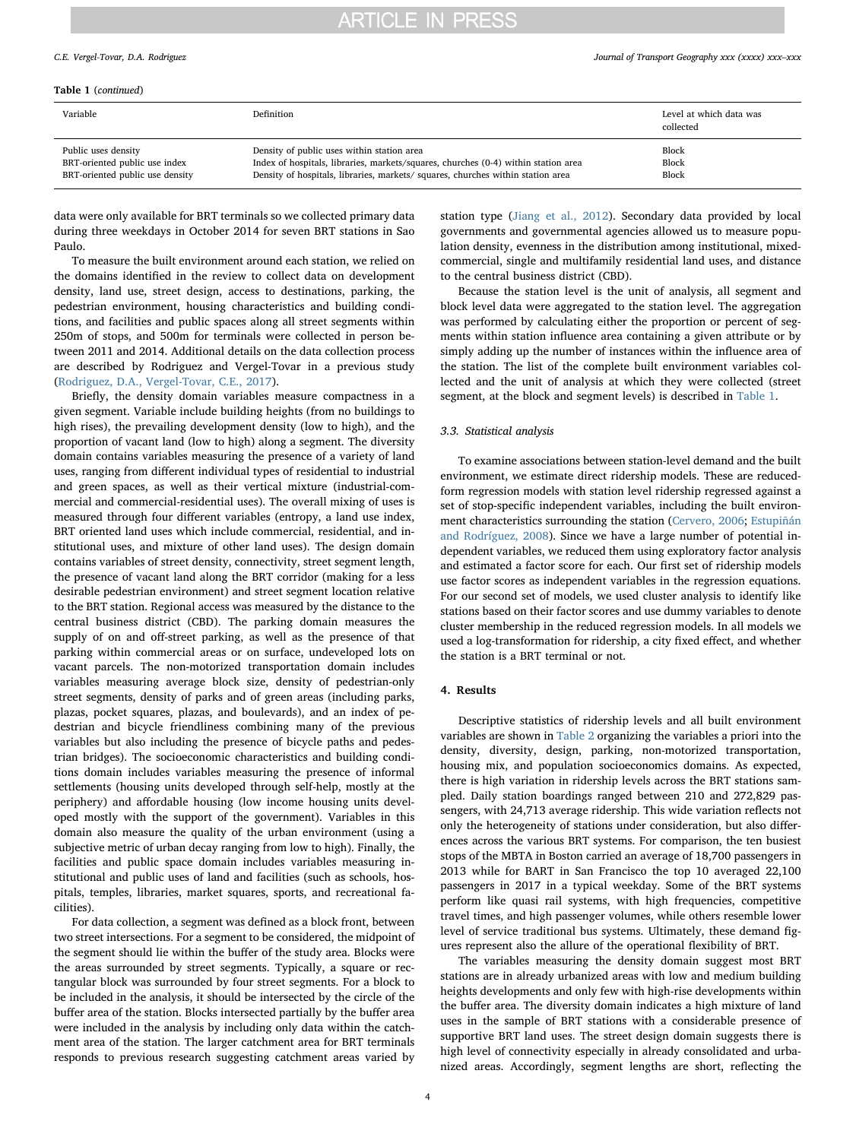### C.E. Vergel-Tovar, D.A. Rodriguez *Journal of Transport Geography xxx (xxxx) xxx–xxx*

### Table 1 (continued)

| Variable                        | Definition                                                                         | Level at which data was<br>collected |
|---------------------------------|------------------------------------------------------------------------------------|--------------------------------------|
| Public uses density             | Density of public uses within station area                                         | Block                                |
| BRT-oriented public use index   | Index of hospitals, libraries, markets/squares, churches (0-4) within station area | Block                                |
| BRT-oriented public use density | Density of hospitals, libraries, markets/squares, churches within station area     | Block                                |

data were only available for BRT terminals so we collected primary data during three weekdays in October 2014 for seven BRT stations in Sao Paulo.

To measure the built environment around each station, we relied on the domains identified in the review to collect data on development density, land use, street design, access to destinations, parking, the pedestrian environment, housing characteristics and building conditions, and facilities and public spaces along all street segments within 250m of stops, and 500m for terminals were collected in person between 2011 and 2014. Additional details on the data collection process are described by Rodriguez and Vergel-Tovar in a previous study ([Rodriguez, D.A., Vergel-Tovar, C.E., 2017](#page-12-36)).

Briefly, the density domain variables measure compactness in a given segment. Variable include building heights (from no buildings to high rises), the prevailing development density (low to high), and the proportion of vacant land (low to high) along a segment. The diversity domain contains variables measuring the presence of a variety of land uses, ranging from different individual types of residential to industrial and green spaces, as well as their vertical mixture (industrial-commercial and commercial-residential uses). The overall mixing of uses is measured through four different variables (entropy, a land use index, BRT oriented land uses which include commercial, residential, and institutional uses, and mixture of other land uses). The design domain contains variables of street density, connectivity, street segment length, the presence of vacant land along the BRT corridor (making for a less desirable pedestrian environment) and street segment location relative to the BRT station. Regional access was measured by the distance to the central business district (CBD). The parking domain measures the supply of on and off-street parking, as well as the presence of that parking within commercial areas or on surface, undeveloped lots on vacant parcels. The non-motorized transportation domain includes variables measuring average block size, density of pedestrian-only street segments, density of parks and of green areas (including parks, plazas, pocket squares, plazas, and boulevards), and an index of pedestrian and bicycle friendliness combining many of the previous variables but also including the presence of bicycle paths and pedestrian bridges). The socioeconomic characteristics and building conditions domain includes variables measuring the presence of informal settlements (housing units developed through self-help, mostly at the periphery) and affordable housing (low income housing units developed mostly with the support of the government). Variables in this domain also measure the quality of the urban environment (using a subjective metric of urban decay ranging from low to high). Finally, the facilities and public space domain includes variables measuring institutional and public uses of land and facilities (such as schools, hospitals, temples, libraries, market squares, sports, and recreational facilities).

For data collection, a segment was defined as a block front, between two street intersections. For a segment to be considered, the midpoint of the segment should lie within the buffer of the study area. Blocks were the areas surrounded by street segments. Typically, a square or rectangular block was surrounded by four street segments. For a block to be included in the analysis, it should be intersected by the circle of the buffer area of the station. Blocks intersected partially by the buffer area were included in the analysis by including only data within the catchment area of the station. The larger catchment area for BRT terminals responds to previous research suggesting catchment areas varied by

station type ([Jiang et al., 2012](#page-12-32)). Secondary data provided by local governments and governmental agencies allowed us to measure population density, evenness in the distribution among institutional, mixedcommercial, single and multifamily residential land uses, and distance to the central business district (CBD).

Because the station level is the unit of analysis, all segment and block level data were aggregated to the station level. The aggregation was performed by calculating either the proportion or percent of segments within station influence area containing a given attribute or by simply adding up the number of instances within the influence area of the station. The list of the complete built environment variables collected and the unit of analysis at which they were collected (street segment, at the block and segment levels) is described in [Table 1.](#page-2-0)

### 3.3. Statistical analysis

To examine associations between station-level demand and the built environment, we estimate direct ridership models. These are reducedform regression models with station level ridership regressed against a set of stop-specific independent variables, including the built environment characteristics surrounding the station ([Cervero, 2006](#page-12-22); [Estupiñán](#page-12-37) [and Rodríguez, 2008\)](#page-12-37). Since we have a large number of potential independent variables, we reduced them using exploratory factor analysis and estimated a factor score for each. Our first set of ridership models use factor scores as independent variables in the regression equations. For our second set of models, we used cluster analysis to identify like stations based on their factor scores and use dummy variables to denote cluster membership in the reduced regression models. In all models we used a log-transformation for ridership, a city fixed effect, and whether the station is a BRT terminal or not.

### 4. Results

Descriptive statistics of ridership levels and all built environment variables are shown in [Table 2](#page-4-0) organizing the variables a priori into the density, diversity, design, parking, non-motorized transportation, housing mix, and population socioeconomics domains. As expected, there is high variation in ridership levels across the BRT stations sampled. Daily station boardings ranged between 210 and 272,829 passengers, with 24,713 average ridership. This wide variation reflects not only the heterogeneity of stations under consideration, but also differences across the various BRT systems. For comparison, the ten busiest stops of the MBTA in Boston carried an average of 18,700 passengers in 2013 while for BART in San Francisco the top 10 averaged 22,100 passengers in 2017 in a typical weekday. Some of the BRT systems perform like quasi rail systems, with high frequencies, competitive travel times, and high passenger volumes, while others resemble lower level of service traditional bus systems. Ultimately, these demand figures represent also the allure of the operational flexibility of BRT.

The variables measuring the density domain suggest most BRT stations are in already urbanized areas with low and medium building heights developments and only few with high-rise developments within the buffer area. The diversity domain indicates a high mixture of land uses in the sample of BRT stations with a considerable presence of supportive BRT land uses. The street design domain suggests there is high level of connectivity especially in already consolidated and urbanized areas. Accordingly, segment lengths are short, reflecting the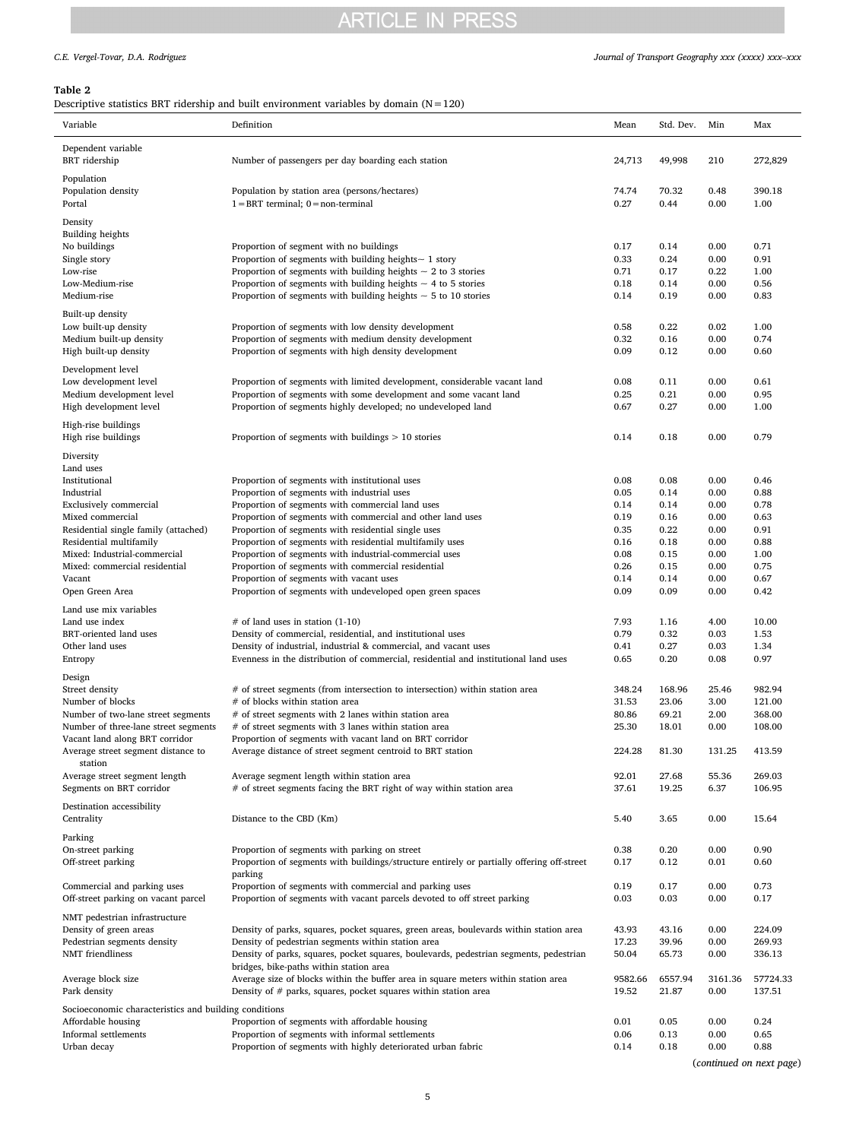## <span id="page-4-0"></span>Table 2

Descriptive statistics BRT ridership and built environment variables by domain (N=120)

| Variable                                                           | Definition                                                                                                                          | Mean          | Std. Dev.     | Min          | Max            |
|--------------------------------------------------------------------|-------------------------------------------------------------------------------------------------------------------------------------|---------------|---------------|--------------|----------------|
| Dependent variable<br>BRT ridership                                | Number of passengers per day boarding each station                                                                                  | 24,713        | 49,998        | 210          | 272,829        |
| Population<br>Population density<br>Portal                         | Population by station area (persons/hectares)<br>$1 = BRT$ terminal; $0 = non-terminal$                                             | 74.74<br>0.27 | 70.32<br>0.44 | 0.48<br>0.00 | 390.18<br>1.00 |
| Density                                                            |                                                                                                                                     |               |               |              |                |
| Building heights<br>No buildings                                   | Proportion of segment with no buildings                                                                                             | 0.17          | 0.14          | 0.00         | 0.71           |
| Single story                                                       | Proportion of segments with building heights $\sim 1$ story                                                                         | 0.33          | 0.24          | 0.00         | 0.91           |
| Low-rise                                                           | Proportion of segments with building heights $\sim$ 2 to 3 stories                                                                  | 0.71          | 0.17          | 0.22         | 1.00           |
| Low-Medium-rise                                                    | Proportion of segments with building heights $\sim$ 4 to 5 stories                                                                  | 0.18          | 0.14          | 0.00         | 0.56           |
| Medium-rise                                                        | Proportion of segments with building heights $\sim$ 5 to 10 stories                                                                 | 0.14          | 0.19          | 0.00         | 0.83           |
| Built-up density                                                   |                                                                                                                                     |               |               |              |                |
| Low built-up density                                               | Proportion of segments with low density development                                                                                 | 0.58          | 0.22          | 0.02         | 1.00           |
| Medium built-up density                                            | Proportion of segments with medium density development                                                                              | 0.32<br>0.09  | 0.16<br>0.12  | 0.00         | 0.74<br>0.60   |
| High built-up density                                              | Proportion of segments with high density development                                                                                |               |               | 0.00         |                |
| Development level<br>Low development level                         | Proportion of segments with limited development, considerable vacant land                                                           | 0.08          | 0.11          | 0.00         | 0.61           |
| Medium development level                                           | Proportion of segments with some development and some vacant land                                                                   | 0.25          | 0.21          | 0.00         | 0.95           |
| High development level                                             | Proportion of segments highly developed; no undeveloped land                                                                        | 0.67          | 0.27          | 0.00         | 1.00           |
| High-rise buildings                                                |                                                                                                                                     |               |               |              |                |
| High rise buildings                                                | Proportion of segments with buildings $> 10$ stories                                                                                | 0.14          | 0.18          | 0.00         | 0.79           |
| Diversity                                                          |                                                                                                                                     |               |               |              |                |
| Land uses                                                          |                                                                                                                                     |               |               |              |                |
| Institutional                                                      | Proportion of segments with institutional uses                                                                                      | 0.08          | 0.08          | 0.00         | 0.46           |
| Industrial                                                         | Proportion of segments with industrial uses                                                                                         | 0.05          | 0.14          | 0.00         | 0.88           |
| Exclusively commercial<br>Mixed commercial                         | Proportion of segments with commercial land uses                                                                                    | 0.14          | 0.14          | 0.00         | 0.78           |
| Residential single family (attached)                               | Proportion of segments with commercial and other land uses<br>Proportion of segments with residential single uses                   | 0.19<br>0.35  | 0.16<br>0.22  | 0.00<br>0.00 | 0.63<br>0.91   |
| Residential multifamily                                            | Proportion of segments with residential multifamily uses                                                                            | 0.16          | 0.18          | 0.00         | 0.88           |
| Mixed: Industrial-commercial                                       | Proportion of segments with industrial-commercial uses                                                                              | 0.08          | 0.15          | 0.00         | 1.00           |
| Mixed: commercial residential                                      | Proportion of segments with commercial residential                                                                                  | 0.26          | 0.15          | 0.00         | 0.75           |
| Vacant                                                             | Proportion of segments with vacant uses                                                                                             | 0.14          | 0.14          | 0.00         | 0.67           |
| Open Green Area                                                    | Proportion of segments with undeveloped open green spaces                                                                           | 0.09          | 0.09          | 0.00         | 0.42           |
| Land use mix variables                                             |                                                                                                                                     |               |               |              |                |
| Land use index                                                     | $#$ of land uses in station (1-10)                                                                                                  | 7.93          | 1.16          | 4.00         | 10.00          |
| BRT-oriented land uses<br>Other land uses                          | Density of commercial, residential, and institutional uses<br>Density of industrial, industrial & commercial, and vacant uses       | 0.79<br>0.41  | 0.32<br>0.27  | 0.03<br>0.03 | 1.53<br>1.34   |
| Entropy                                                            | Evenness in the distribution of commercial, residential and institutional land uses                                                 | 0.65          | 0.20          | 0.08         | 0.97           |
|                                                                    |                                                                                                                                     |               |               |              |                |
| Design<br>Street density                                           | # of street segments (from intersection to intersection) within station area                                                        | 348.24        | 168.96        | 25.46        | 982.94         |
| Number of blocks                                                   | # of blocks within station area                                                                                                     | 31.53         | 23.06         | 3.00         | 121.00         |
| Number of two-lane street segments                                 | $#$ of street segments with 2 lanes within station area                                                                             | 80.86         | 69.21         | 2.00         | 368.00         |
| Number of three-lane street segments                               | # of street segments with 3 lanes within station area                                                                               | 25.30         | 18.01         | 0.00         | 108.00         |
| Vacant land along BRT corridor                                     | Proportion of segments with vacant land on BRT corridor                                                                             |               |               |              |                |
| Average street segment distance to<br>station                      | Average distance of street segment centroid to BRT station                                                                          | 224.28        | 81.30         | 131.25       | 413.59         |
| Average street segment length                                      | Average segment length within station area                                                                                          | 92.01         | 27.68         | 55.36        | 269.03         |
| Segments on BRT corridor                                           | # of street segments facing the BRT right of way within station area                                                                | 37.61         | 19.25         | 6.37         | 106.95         |
| Destination accessibility                                          |                                                                                                                                     |               |               |              |                |
| Centrality                                                         | Distance to the CBD (Km)                                                                                                            | 5.40          | 3.65          | 0.00         | 15.64          |
| Parking                                                            |                                                                                                                                     |               |               |              |                |
| On-street parking                                                  | Proportion of segments with parking on street                                                                                       | 0.38          | 0.20          | 0.00         | 0.90           |
| Off-street parking                                                 | Proportion of segments with buildings/structure entirely or partially offering off-street                                           | 0.17          | 0.12          | 0.01         | 0.60           |
|                                                                    | parking                                                                                                                             |               |               |              |                |
| Commercial and parking uses<br>Off-street parking on vacant parcel | Proportion of segments with commercial and parking uses<br>Proportion of segments with vacant parcels devoted to off street parking | 0.19<br>0.03  | 0.17<br>0.03  | 0.00<br>0.00 | 0.73<br>0.17   |
|                                                                    |                                                                                                                                     |               |               |              |                |
| NMT pedestrian infrastructure<br>Density of green areas            | Density of parks, squares, pocket squares, green areas, boulevards within station area                                              | 43.93         | 43.16         | 0.00         | 224.09         |
| Pedestrian segments density                                        | Density of pedestrian segments within station area                                                                                  | 17.23         | 39.96         | 0.00         | 269.93         |
| <b>NMT</b> friendliness                                            | Density of parks, squares, pocket squares, boulevards, pedestrian segments, pedestrian                                              | 50.04         | 65.73         | 0.00         | 336.13         |
|                                                                    | bridges, bike-paths within station area                                                                                             |               |               |              |                |
| Average block size                                                 | Average size of blocks within the buffer area in square meters within station area                                                  | 9582.66       | 6557.94       | 3161.36      | 57724.33       |
| Park density                                                       | Density of $#$ parks, squares, pocket squares within station area                                                                   | 19.52         | 21.87         | 0.00         | 137.51         |
| Socioeconomic characteristics and building conditions              |                                                                                                                                     |               |               |              |                |
| Affordable housing                                                 | Proportion of segments with affordable housing                                                                                      | 0.01          | 0.05          | 0.00         | 0.24           |
| Informal settlements<br>Urban decay                                | Proportion of segments with informal settlements<br>Proportion of segments with highly deteriorated urban fabric                    | 0.06<br>0.14  | 0.13<br>0.18  | 0.00<br>0.00 | 0.65<br>0.88   |
|                                                                    |                                                                                                                                     |               |               |              |                |

(continued on next page)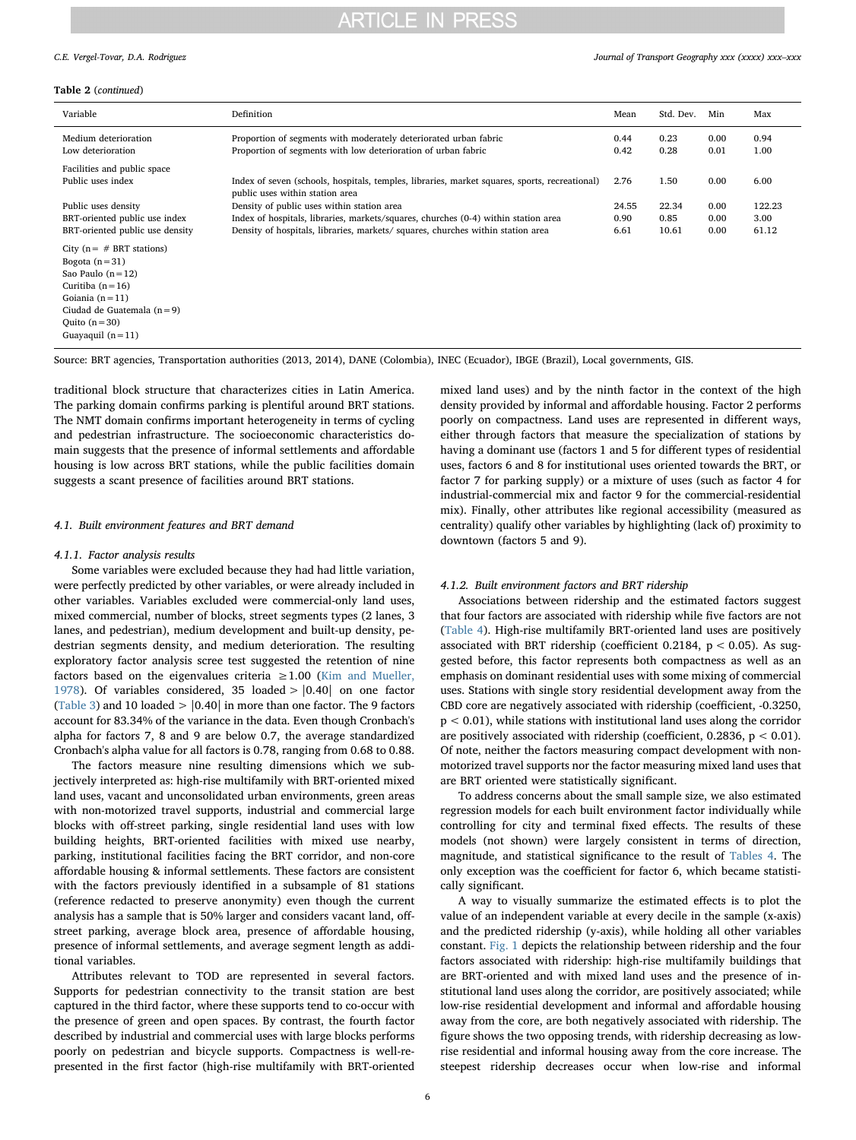### C.E. Vergel-Tovar, D.A. Rodriguez *Journal of Transport Geography xxx (xxxx) xxx–xxx*

### Table 2 (continued)

| Variable                                                                                                                                                                              | Definition                                                                                                                        | Mean          | Std. Dev.     | Min          | Max            |
|---------------------------------------------------------------------------------------------------------------------------------------------------------------------------------------|-----------------------------------------------------------------------------------------------------------------------------------|---------------|---------------|--------------|----------------|
| Medium deterioration<br>Low deterioration                                                                                                                                             | Proportion of segments with moderately deteriorated urban fabric<br>Proportion of segments with low deterioration of urban fabric | 0.44<br>0.42  | 0.23<br>0.28  | 0.00<br>0.01 | 0.94<br>1.00   |
| Facilities and public space<br>Public uses index                                                                                                                                      | Index of seven (schools, hospitals, temples, libraries, market squares, sports, recreational)<br>public uses within station area  | 2.76          | 1.50          | 0.00         | 6.00           |
| Public uses density<br>BRT-oriented public use index                                                                                                                                  | Density of public uses within station area<br>Index of hospitals, libraries, markets/squares, churches (0-4) within station area  | 24.55<br>0.90 | 22.34<br>0.85 | 0.00<br>0.00 | 122.23<br>3.00 |
| BRT-oriented public use density                                                                                                                                                       | Density of hospitals, libraries, markets/squares, churches within station area                                                    | 6.61          | 10.61         | 0.00         | 61.12          |
| City ( $n = # BRT$ stations)<br>Bogota $(n=31)$<br>Sao Paulo $(n=12)$<br>Curitiba $(n=16)$<br>Goiania $(n=11)$<br>Ciudad de Guatemala $(n=9)$<br>Quito $(n=30)$<br>Guayaquil $(n=11)$ |                                                                                                                                   |               |               |              |                |

Source: BRT agencies, Transportation authorities (2013, 2014), DANE (Colombia), INEC (Ecuador), IBGE (Brazil), Local governments, GIS.

traditional block structure that characterizes cities in Latin America. The parking domain confirms parking is plentiful around BRT stations. The NMT domain confirms important heterogeneity in terms of cycling and pedestrian infrastructure. The socioeconomic characteristics domain suggests that the presence of informal settlements and affordable housing is low across BRT stations, while the public facilities domain suggests a scant presence of facilities around BRT stations.

### 4.1. Built environment features and BRT demand

### 4.1.1. Factor analysis results

Some variables were excluded because they had had little variation, were perfectly predicted by other variables, or were already included in other variables. Variables excluded were commercial-only land uses, mixed commercial, number of blocks, street segments types (2 lanes, 3 lanes, and pedestrian), medium development and built-up density, pedestrian segments density, and medium deterioration. The resulting exploratory factor analysis scree test suggested the retention of nine factors based on the eigenvalues criteria  $\geq 1.00$  ([Kim and Mueller,](#page-12-38) [1978\)](#page-12-38). Of variables considered, 35 loaded > |0.40| on one factor ([Table 3\)](#page-6-0) and 10 loaded  $>$   $|0.40|$  in more than one factor. The 9 factors account for 83.34% of the variance in the data. Even though Cronbach's alpha for factors 7, 8 and 9 are below 0.7, the average standardized Cronbach's alpha value for all factors is 0.78, ranging from 0.68 to 0.88.

The factors measure nine resulting dimensions which we subjectively interpreted as: high-rise multifamily with BRT-oriented mixed land uses, vacant and unconsolidated urban environments, green areas with non-motorized travel supports, industrial and commercial large blocks with off-street parking, single residential land uses with low building heights, BRT-oriented facilities with mixed use nearby, parking, institutional facilities facing the BRT corridor, and non-core affordable housing & informal settlements. These factors are consistent with the factors previously identified in a subsample of 81 stations (reference redacted to preserve anonymity) even though the current analysis has a sample that is 50% larger and considers vacant land, offstreet parking, average block area, presence of affordable housing, presence of informal settlements, and average segment length as additional variables.

Attributes relevant to TOD are represented in several factors. Supports for pedestrian connectivity to the transit station are best captured in the third factor, where these supports tend to co-occur with the presence of green and open spaces. By contrast, the fourth factor described by industrial and commercial uses with large blocks performs poorly on pedestrian and bicycle supports. Compactness is well-represented in the first factor (high-rise multifamily with BRT-oriented

mixed land uses) and by the ninth factor in the context of the high density provided by informal and affordable housing. Factor 2 performs poorly on compactness. Land uses are represented in different ways, either through factors that measure the specialization of stations by having a dominant use (factors 1 and 5 for different types of residential uses, factors 6 and 8 for institutional uses oriented towards the BRT, or factor 7 for parking supply) or a mixture of uses (such as factor 4 for industrial-commercial mix and factor 9 for the commercial-residential mix). Finally, other attributes like regional accessibility (measured as centrality) qualify other variables by highlighting (lack of) proximity to downtown (factors 5 and 9).

### 4.1.2. Built environment factors and BRT ridership

Associations between ridership and the estimated factors suggest that four factors are associated with ridership while five factors are not ([Table 4](#page-8-0)). High-rise multifamily BRT-oriented land uses are positively associated with BRT ridership (coefficient 0.2184,  $p < 0.05$ ). As suggested before, this factor represents both compactness as well as an emphasis on dominant residential uses with some mixing of commercial uses. Stations with single story residential development away from the CBD core are negatively associated with ridership (coefficient, -0.3250, p < 0.01), while stations with institutional land uses along the corridor are positively associated with ridership (coefficient,  $0.2836$ ,  $p < 0.01$ ). Of note, neither the factors measuring compact development with nonmotorized travel supports nor the factor measuring mixed land uses that are BRT oriented were statistically significant.

To address concerns about the small sample size, we also estimated regression models for each built environment factor individually while controlling for city and terminal fixed effects. The results of these models (not shown) were largely consistent in terms of direction, magnitude, and statistical significance to the result of [Tables 4.](#page-8-0) The only exception was the coefficient for factor 6, which became statistically significant.

A way to visually summarize the estimated effects is to plot the value of an independent variable at every decile in the sample (x-axis) and the predicted ridership (y-axis), while holding all other variables constant. [Fig. 1](#page-8-1) depicts the relationship between ridership and the four factors associated with ridership: high-rise multifamily buildings that are BRT-oriented and with mixed land uses and the presence of institutional land uses along the corridor, are positively associated; while low-rise residential development and informal and affordable housing away from the core, are both negatively associated with ridership. The figure shows the two opposing trends, with ridership decreasing as lowrise residential and informal housing away from the core increase. The steepest ridership decreases occur when low-rise and informal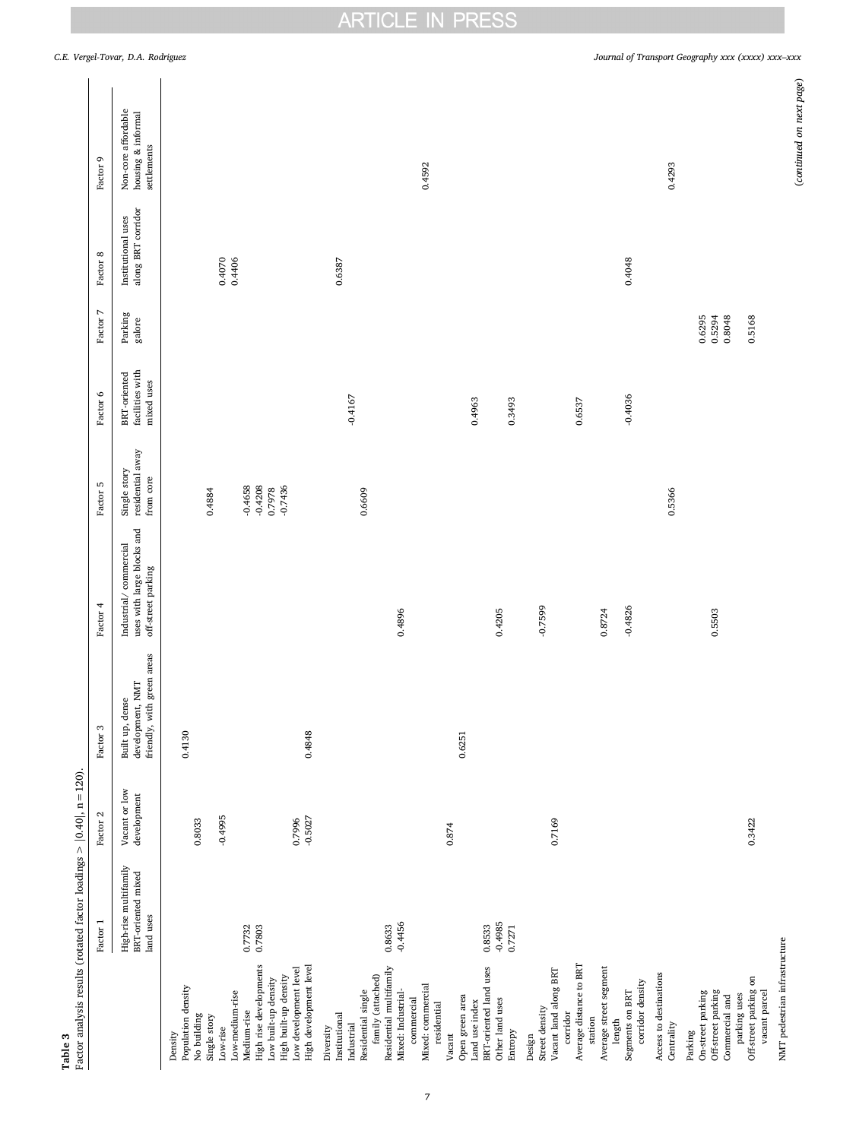<span id="page-6-0"></span>

| Factor analysis results (rotated factor loadings $>$ $ 0.40 $ , n = 120). |                                                          |                              |                                                                   |                                                                           |                                               |                                               |                            |                                          |                                                          |
|---------------------------------------------------------------------------|----------------------------------------------------------|------------------------------|-------------------------------------------------------------------|---------------------------------------------------------------------------|-----------------------------------------------|-----------------------------------------------|----------------------------|------------------------------------------|----------------------------------------------------------|
|                                                                           | Factor 1                                                 | Factor 2                     | Factor 3                                                          | Factor 4                                                                  | Factor 5                                      | Factor 6                                      | Factor 7                   | Factor 8                                 | Factor 9                                                 |
|                                                                           | High-rise multifamily<br>BRT-oriented mixed<br>land uses | Vacant or low<br>development | friendly, with green areas<br>development, NMT<br>Built up, dense | uses with large blocks and<br>Industrial/commercial<br>off-street parking | residential away<br>Single story<br>from core | facilities with<br>BRT-oriented<br>mixed uses | Parking<br>salore          | along BRT corridor<br>Institutional uses | Non-core affordable<br>housing & informal<br>settlements |
| Population density<br>No building<br>Density                              |                                                          | 0.8033                       | 0.4130                                                            |                                                                           |                                               |                                               |                            |                                          |                                                          |
| Single story                                                              |                                                          |                              |                                                                   |                                                                           | 0.4884                                        |                                               |                            |                                          |                                                          |
| Low-medium-rise<br>Low-rise                                               |                                                          | $-0.4995$                    |                                                                   |                                                                           |                                               |                                               |                            | 0.4070<br>0.4406                         |                                                          |
| Medium-rise                                                               | 0.7732                                                   |                              |                                                                   |                                                                           | $-0.4658$<br>$-0.4208$                        |                                               |                            |                                          |                                                          |
| High rise developments<br>Low built-up density                            | 0.7803                                                   |                              |                                                                   |                                                                           | 0.7978                                        |                                               |                            |                                          |                                                          |
| High built-up density                                                     |                                                          | 0.7996                       |                                                                   |                                                                           | $-0.7436$                                     |                                               |                            |                                          |                                                          |
| High development level<br>Low development level                           |                                                          | $-0.5027$                    | 0.4848                                                            |                                                                           |                                               |                                               |                            |                                          |                                                          |
| Institutional<br>Diversity                                                |                                                          |                              |                                                                   |                                                                           |                                               |                                               |                            | 0.6387                                   |                                                          |
| Industrial                                                                |                                                          |                              |                                                                   |                                                                           |                                               | $-0.4167$                                     |                            |                                          |                                                          |
| family (attached)<br>Residential single                                   |                                                          |                              |                                                                   |                                                                           | 0.6609                                        |                                               |                            |                                          |                                                          |
| Residential multifamily<br>Mixed: Industrial-                             | $-0.4456$<br>0.8633                                      |                              |                                                                   | 0.4896                                                                    |                                               |                                               |                            |                                          |                                                          |
| Mixed: commercial<br>commercial                                           |                                                          |                              |                                                                   |                                                                           |                                               |                                               |                            |                                          | 0.4592                                                   |
| residential<br>Vacant                                                     |                                                          | 0.874                        |                                                                   |                                                                           |                                               |                                               |                            |                                          |                                                          |
| Open green area                                                           |                                                          |                              | 0.6251                                                            |                                                                           |                                               |                                               |                            |                                          |                                                          |
| BRT-oriented land uses<br>Land use index                                  | 0.8533                                                   |                              |                                                                   |                                                                           |                                               | 0.4963                                        |                            |                                          |                                                          |
| Other land uses<br>Entropy                                                | $-0.4985$<br>0.7271                                      |                              |                                                                   | 0.4205                                                                    |                                               | 0.3493                                        |                            |                                          |                                                          |
| Design                                                                    |                                                          |                              |                                                                   |                                                                           |                                               |                                               |                            |                                          |                                                          |
| Vacant land along BRT<br>Street density                                   |                                                          | 0.7169                       |                                                                   | $-0.7599$                                                                 |                                               |                                               |                            |                                          |                                                          |
| Average distance to BRT<br>corridor                                       |                                                          |                              |                                                                   |                                                                           |                                               | 0.6537                                        |                            |                                          |                                                          |
| Average street segment<br>station                                         |                                                          |                              |                                                                   | 0.8724                                                                    |                                               |                                               |                            |                                          |                                                          |
| $\mbox{length}$                                                           |                                                          |                              |                                                                   |                                                                           |                                               |                                               |                            |                                          |                                                          |
| corridor density<br>Segments on BRT                                       |                                                          |                              |                                                                   | $-0.4826$                                                                 |                                               | $-0.4036$                                     |                            | 0.4048                                   |                                                          |
| Access to destinations<br>Centrality                                      |                                                          |                              |                                                                   |                                                                           | 0.5366                                        |                                               |                            |                                          | 0.4293                                                   |
| Parking                                                                   |                                                          |                              |                                                                   |                                                                           |                                               |                                               |                            |                                          |                                                          |
| Off-street parking<br>On-street parking<br>Commercial and                 |                                                          |                              |                                                                   | 0.5503                                                                    |                                               |                                               | 0.6295<br>0.5294<br>0.8048 |                                          |                                                          |
| Off-street parking on<br>vacant parcel<br>parking uses                    |                                                          | 0.3422                       |                                                                   |                                                                           |                                               |                                               | 0.5168                     |                                          |                                                          |
| NMT pedestrian infrastructure                                             |                                                          |                              |                                                                   |                                                                           |                                               |                                               |                            |                                          | Continued on next nece)                                  |

7

# **ARTICLE IN PRESS**

(continued on next page)

(continued on next page)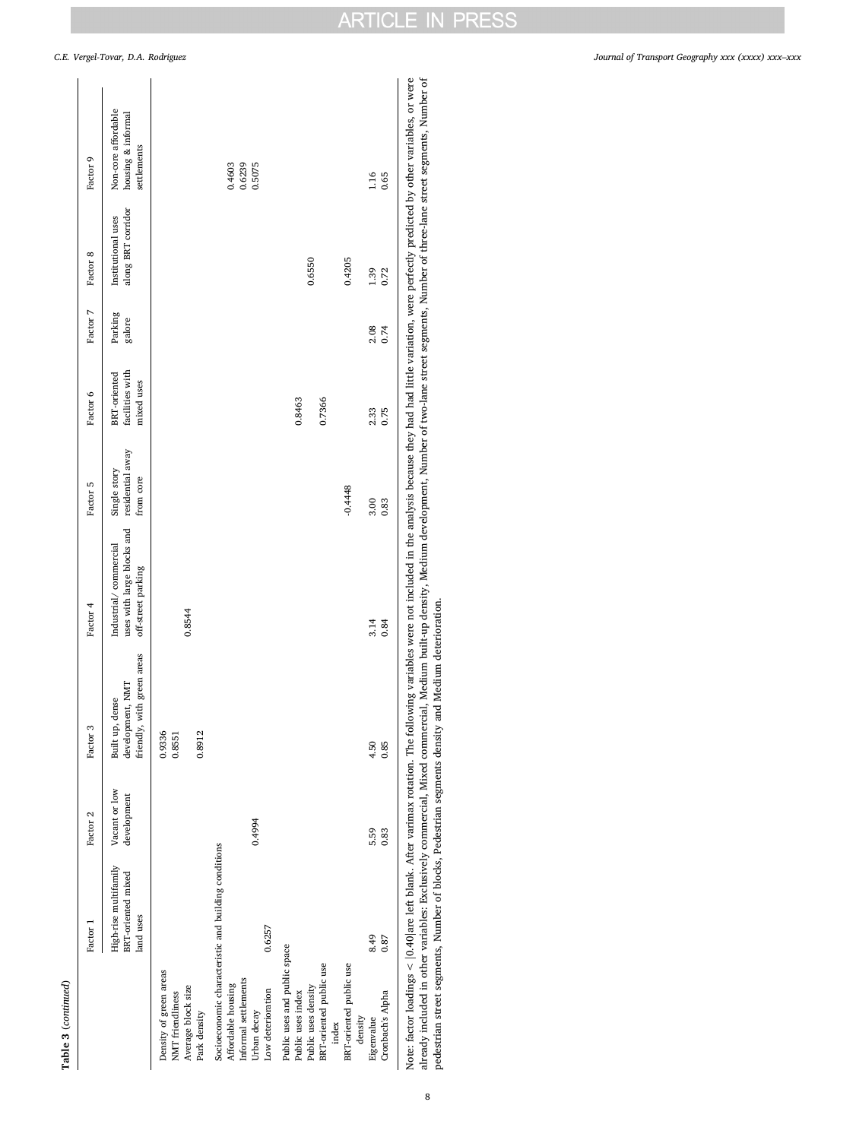| ī      |
|--------|
|        |
| o<br>٦ |
|        |
| ٦      |
| w      |

|                                                                                  | Factor 1                                                       | Factor 2                     | Factor 3                                                          | Factor 4                                                                  | Factor 5                                      | Factor 6                                      | Factor 7          | Factor 8                                 | Factor 9                                                 |
|----------------------------------------------------------------------------------|----------------------------------------------------------------|------------------------------|-------------------------------------------------------------------|---------------------------------------------------------------------------|-----------------------------------------------|-----------------------------------------------|-------------------|------------------------------------------|----------------------------------------------------------|
|                                                                                  | High-rise multifamily<br>BRT-oriented mixed<br>land uses       | Vacant or low<br>development | friendly, with green areas<br>development, NMT<br>Built up, dense | uses with large blocks and<br>Industrial/commercial<br>off-street parking | residential away<br>Single story<br>from core | facilities with<br>BRT-oriented<br>mixed uses | Parking<br>galore | along BRT corridor<br>Institutional uses | Non-core affordable<br>housing & informal<br>settlements |
| Density of green areas<br>Average block size<br>NMT friendliness<br>Park density |                                                                |                              | 0.9336<br>0.8912<br>0.8551                                        | 0.8544                                                                    |                                               |                                               |                   |                                          |                                                          |
| Informal settlements<br>Affordable housing<br>Low deterioration<br>Urban decay   | Socioeconomic characteristic and building conditions<br>0.6257 | 0.4994                       |                                                                   |                                                                           |                                               |                                               |                   |                                          | 0.4603<br>0.6239<br>0.5075                               |
| Public uses and public space<br>Public uses index                                |                                                                |                              |                                                                   |                                                                           |                                               | 0.8463                                        |                   |                                          |                                                          |
| BRT-oriented public use<br>Public uses density<br>index                          |                                                                |                              |                                                                   |                                                                           |                                               | 0.7366                                        |                   | 0.6550                                   |                                                          |
| BRT-oriented public use<br>density                                               |                                                                |                              |                                                                   |                                                                           | $-0.4448$                                     |                                               |                   | 0.4205                                   |                                                          |
| Cronbach's Alpha<br>Eigenvalue                                                   | 8.49<br>0.87                                                   | 5.59<br>0.83                 | 4.50<br>0.85                                                      | 3.14<br>0.84                                                              | 3.00<br>0.83                                  | 2.33<br>0.75                                  | 2.08<br>0.74      | 1.39<br>0.72                             | 1.16<br>0.65                                             |
|                                                                                  |                                                                |                              |                                                                   |                                                                           |                                               |                                               |                   |                                          |                                                          |

Note: factor loadings < |0.40|are left blank. After varimax rotation. The following variables were not included in the analysis because they had had little variation, were perfectly predicted by other variables, or were we Note: factor loadings < |0.40|are left blank. After varimax rotation. The following variables were not included in the analysis because they had had little variation, were perfectly predicted by other variables, or were already included in other variables: Exclusively commercial, Mixed commercial, Medium built-up density, Medium development, Number of two-lane street segments, Number of three-lane street segments, Number of three-lane str pedestrian street segments, Number of blocks, Pedestrian segments density and Medium deterioration. pedestrian street segments, Number of blocks, Pedestrian segments density and Medium deterioration.

8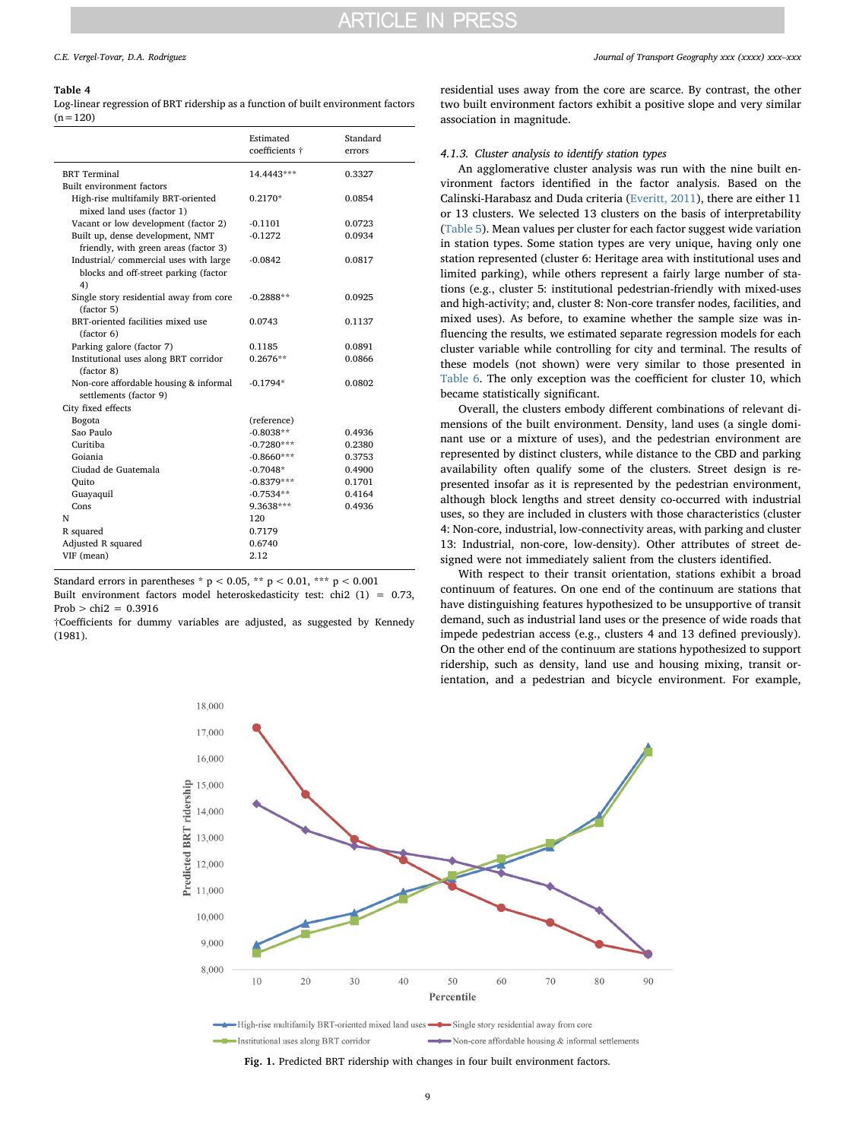### <span id="page-8-0"></span>Table 4

Log-linear regression of BRT ridership as a function of built environment factors  $(n=120)$ 

|                                         | Estimated<br>coefficients + | Standard<br>errors |
|-----------------------------------------|-----------------------------|--------------------|
| <b>BRT</b> Terminal                     | 14.4443***                  | 0.3327             |
| Built environment factors               |                             |                    |
| High-rise multifamily BRT-oriented      | $0.2170*$                   | 0.0854             |
| mixed land uses (factor 1)              |                             |                    |
| Vacant or low development (factor 2)    | $-0.1101$                   | 0.0723             |
| Built up, dense development, NMT        | $-0.1272$                   | 0.0934             |
| friendly, with green areas (factor 3)   |                             |                    |
| Industrial/commercial uses with large   | $-0.0842$                   | 0.0817             |
| blocks and off-street parking (factor   |                             |                    |
| 4)                                      |                             |                    |
| Single story residential away from core | $-0.2888**$                 | 0.0925             |
| (factor 5)                              |                             |                    |
| BRT-oriented facilities mixed use       | 0.0743                      | 0.1137             |
| (factor 6)                              |                             |                    |
| Parking galore (factor 7)               | 0.1185                      | 0.0891             |
| Institutional uses along BRT corridor   | $0.2676**$                  | 0.0866             |
| (factor 8)                              |                             |                    |
| Non-core affordable housing & informal  | $-0.1794*$                  | 0.0802             |
| settlements (factor 9)                  |                             |                    |
| City fixed effects                      |                             |                    |
| Bogota                                  | (reference)                 |                    |
| Sao Paulo                               | $-0.8038**$                 | 0.4936             |
| Curitiba                                | $-0.7280***$                | 0.2380             |
| Goiania                                 | $-0.8660***$                | 0.3753             |
| Ciudad de Guatemala                     | $-0.7048*$                  | 0.4900             |
| Ouito                                   | $-0.8379***$                | 0.1701             |
| Guayaquil                               | $-0.7534**$                 | 0.4164             |
| Cons                                    | 9.3638***                   | 0.4936             |
| N                                       | 120                         |                    |
| R squared                               | 0.7179                      |                    |
| Adjusted R squared                      | 0.6740                      |                    |
| VIF (mean)                              | 2.12                        |                    |

Standard errors in parentheses \* p < 0.05, \*\* p < 0.01, \*\*\* p < 0.001

Built environment factors model heteroskedasticity test: chi2 (1) = 0.73,  $Prob > chi2 = 0.3916$ 

<span id="page-8-1"></span>†Coefficients for dummy variables are adjusted, as suggested by Kennedy (1981).

residential uses away from the core are scarce. By contrast, the other two built environment factors exhibit a positive slope and very similar association in magnitude.

### 4.1.3. Cluster analysis to identify station types

An agglomerative cluster analysis was run with the nine built environment factors identified in the factor analysis. Based on the Calinski-Harabasz and Duda criteria ([Everitt, 2011\)](#page-12-39), there are either 11 or 13 clusters. We selected 13 clusters on the basis of interpretability ([Table 5](#page-9-0)). Mean values per cluster for each factor suggest wide variation in station types. Some station types are very unique, having only one station represented (cluster 6: Heritage area with institutional uses and limited parking), while others represent a fairly large number of stations (e.g., cluster 5: institutional pedestrian-friendly with mixed-uses and high-activity; and, cluster 8: Non-core transfer nodes, facilities, and mixed uses). As before, to examine whether the sample size was influencing the results, we estimated separate regression models for each cluster variable while controlling for city and terminal. The results of these models (not shown) were very similar to those presented in [Table 6.](#page-10-0) The only exception was the coefficient for cluster 10, which became statistically significant.

Overall, the clusters embody different combinations of relevant dimensions of the built environment. Density, land uses (a single dominant use or a mixture of uses), and the pedestrian environment are represented by distinct clusters, while distance to the CBD and parking availability often qualify some of the clusters. Street design is represented insofar as it is represented by the pedestrian environment, although block lengths and street density co-occurred with industrial uses, so they are included in clusters with those characteristics (cluster 4: Non-core, industrial, low-connectivity areas, with parking and cluster 13: Industrial, non-core, low-density). Other attributes of street designed were not immediately salient from the clusters identified.

With respect to their transit orientation, stations exhibit a broad continuum of features. On one end of the continuum are stations that have distinguishing features hypothesized to be unsupportive of transit demand, such as industrial land uses or the presence of wide roads that impede pedestrian access (e.g., clusters 4 and 13 defined previously). On the other end of the continuum are stations hypothesized to support ridership, such as density, land use and housing mixing, transit orientation, and a pedestrian and bicycle environment. For example,

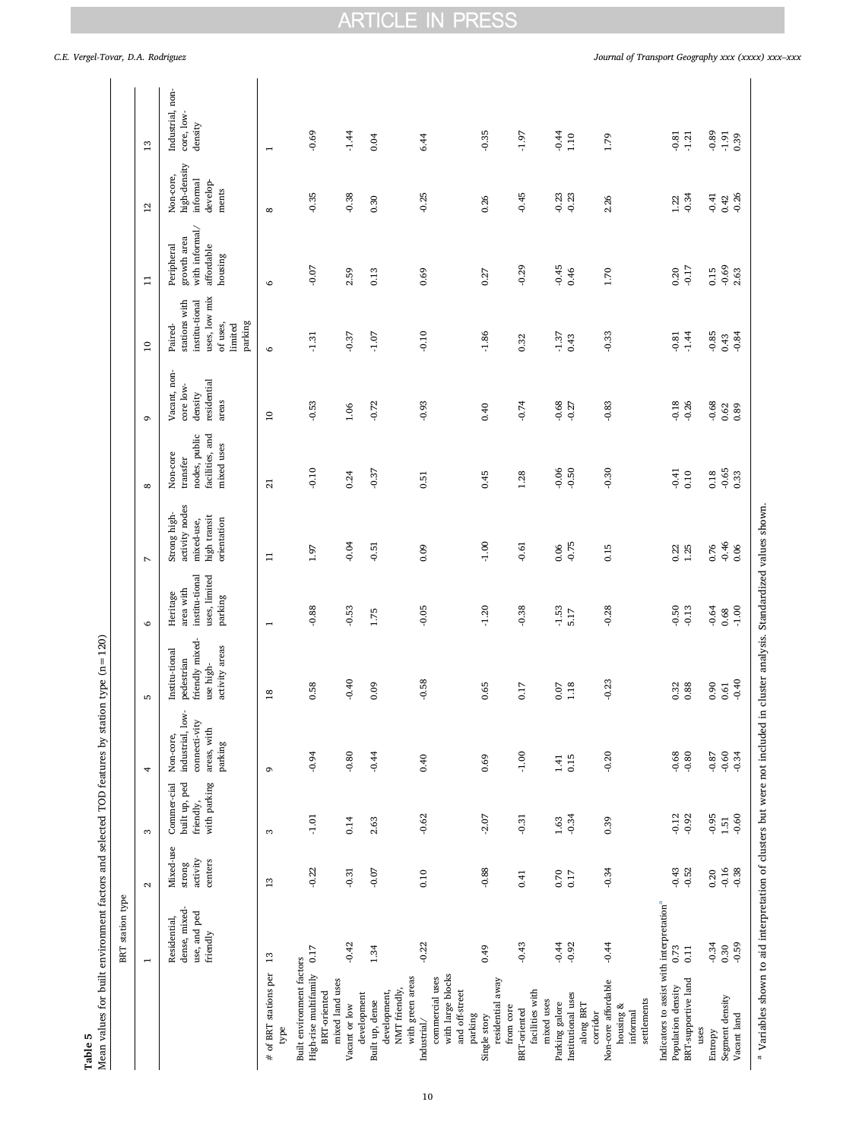<span id="page-9-1"></span><span id="page-9-0"></span>

| BRT station type                                                                                                                                                                                                                                                                                                                                                                                                                                                                                                                                                                                                                                                                                                                                                                                                                                                                                                                                                                                                                                                                                                                                                                                                                                                                                                                                                                                                                                                                                                                                                                                                                                                                                                                                                                                                                                                                                                                                                                                                                                                                                                                                                                                                                                                                                                                                                                                                                                                                       | high-density<br>Non-core,<br>informal<br>develop-<br>ments<br>$-0.35$<br>$-0.38$<br>$-0.25$<br>$-0.45$<br>$-0.23$<br>$-0.23$<br>$1.22$<br>$-0.34$<br>0.30<br>0.26<br>2.26<br>$\mathbf{r}$<br>${}^{\circ}$ |
|----------------------------------------------------------------------------------------------------------------------------------------------------------------------------------------------------------------------------------------------------------------------------------------------------------------------------------------------------------------------------------------------------------------------------------------------------------------------------------------------------------------------------------------------------------------------------------------------------------------------------------------------------------------------------------------------------------------------------------------------------------------------------------------------------------------------------------------------------------------------------------------------------------------------------------------------------------------------------------------------------------------------------------------------------------------------------------------------------------------------------------------------------------------------------------------------------------------------------------------------------------------------------------------------------------------------------------------------------------------------------------------------------------------------------------------------------------------------------------------------------------------------------------------------------------------------------------------------------------------------------------------------------------------------------------------------------------------------------------------------------------------------------------------------------------------------------------------------------------------------------------------------------------------------------------------------------------------------------------------------------------------------------------------------------------------------------------------------------------------------------------------------------------------------------------------------------------------------------------------------------------------------------------------------------------------------------------------------------------------------------------------------------------------------------------------------------------------------------------------|-----------------------------------------------------------------------------------------------------------------------------------------------------------------------------------------------------------|
| $-0.45$<br>$-0.29$<br>$-0.07$<br>$-0.17$<br>0.20<br>2.59<br>0.13<br>0.46<br>1.70<br>0.69<br>0.27<br>$\Xi$<br>$\circ$<br>uses, low mix<br>stations with<br>institu-tional<br>parking<br>of uses,<br>limited<br>Paired-<br>$-0.10$<br>$-0.33$<br>$-0.37$<br>$-1.07$<br>$-1.86$<br>$-1.37$<br>0.43<br>$-1.44$<br>$-0.81$<br>$-1.31$<br>0.32<br>$\overline{10}$<br>$\circ$<br>Vacant, non-<br>residential<br>core low-<br>density<br>areas<br>$-0.18$<br>$-0.26$<br>$-0.72$<br>$-0.68$<br>$-0.27$<br>$-0.83$<br>$-0.53$<br>$-0.93$<br>$-0.74$<br>1.06<br>0.40<br>$\overline{10}$<br>$\sigma$<br>facilities, and<br>nodes, public<br>mixed uses<br>Non-core<br>transfer<br>$-0.10$<br>$-0.06$<br>$-0.50$<br>$-0.30$<br>$-0.37$<br>$-0.41$<br>0.10<br>0.24<br>0.45<br>1.28<br>0.51<br>$\overline{21}$<br>$\infty$<br>activity nodes<br>Strong high-<br>high transit<br>orientation<br>mixed-use,<br>$-1.00$<br>$-0.75$<br>$-0.04$<br>$-0.51$<br>$-0.61$<br>0.06<br>0.09<br>0.15<br>$0.22$<br>1.25<br>1.97<br>$\Xi$<br>$\overline{ }$<br>institu-tional<br>uses, limited<br>area with<br>Heritage<br>parking<br>$-0.50$<br>$-0.13$<br>$-0.88$<br>$-0.53$<br>$-0.05$<br>$-1.20$<br>$-0.38$<br>$\begin{array}{c} 1.53 \\ 5.17 \end{array}$<br>$-0.28$<br>1.75<br>$\circ$<br>$\overline{\phantom{a}}$<br>friendly mixed-<br>activity areas<br>Institu-tional<br>pedestrian<br>use high-<br>$\theta$<br>58<br>23<br>0.58<br>0.09<br>0.65<br>$\begin{array}{c} 0.07 \\ 1.18 \end{array}$<br>$\begin{array}{c} 0.32 \\ 0.88 \end{array}$<br>0.17<br>$\frac{8}{18}$<br>Ģ<br>ု<br>Ģ<br>ъ<br>industrial, low-<br>$\mbox{connectivity}$<br>areas, with<br>Non-core,<br>parking<br>$-0.68$<br>$-0.94$<br>$-0.80$<br>$-0.44$<br>$-1.00$<br>$-0.20$<br>0.40<br>0.69<br>0.15<br>1.41<br>$\circ$<br>4<br>built up, ped<br>with parking<br>Commer-cial<br>friendly,<br>$-0.12$<br>$-0.62$<br>$-0.92$<br>$-2.07$<br>$\frac{1.63}{0.34}$<br>$-1.01$<br>$-0.31$<br>2.63<br>0.39<br>0.14<br>$\mathfrak{g}$<br>$\mathfrak{g}$<br>Mixed-use<br>activity<br>centers<br>strong<br>$-0.43$<br>$-0.22$<br>$-0.88$<br>$-0.34$<br>$-0.52$<br>$-0.07$<br>$-0.31$<br>0.10<br>0.70<br>0.17<br>0.41<br>13<br>$\mathbf{\Omega}$<br>Indicators to assist with interpretation <sup>a</sup><br>dense, mixed-<br>use, and ped<br>Residential,<br>friendly<br>$-0.22$<br>$-0.44$<br>$-0.44$<br>$-0.42$<br>$-0.43$<br>$-0.92$<br>0.73<br>1.34<br>64.0<br>0.11<br>0.17<br>13<br>Built environment factors<br>$\overline{\phantom{a}}$ | $0.42$<br>$0.26$<br>$-0.41$                                                                                                                                                                               |
| $h \text{ousing}$<br>0.15<br>$-0.85$<br>$-0.68$<br>0.18<br>0.76<br>$-0.64$<br>0.20<br>$-0.34$                                                                                                                                                                                                                                                                                                                                                                                                                                                                                                                                                                                                                                                                                                                                                                                                                                                                                                                                                                                                                                                                                                                                                                                                                                                                                                                                                                                                                                                                                                                                                                                                                                                                                                                                                                                                                                                                                                                                                                                                                                                                                                                                                                                                                                                                                                                                                                                          |                                                                                                                                                                                                           |
| Peripheral                                                                                                                                                                                                                                                                                                                                                                                                                                                                                                                                                                                                                                                                                                                                                                                                                                                                                                                                                                                                                                                                                                                                                                                                                                                                                                                                                                                                                                                                                                                                                                                                                                                                                                                                                                                                                                                                                                                                                                                                                                                                                                                                                                                                                                                                                                                                                                                                                                                                             |                                                                                                                                                                                                           |
| affordable                                                                                                                                                                                                                                                                                                                                                                                                                                                                                                                                                                                                                                                                                                                                                                                                                                                                                                                                                                                                                                                                                                                                                                                                                                                                                                                                                                                                                                                                                                                                                                                                                                                                                                                                                                                                                                                                                                                                                                                                                                                                                                                                                                                                                                                                                                                                                                                                                                                                             |                                                                                                                                                                                                           |
|                                                                                                                                                                                                                                                                                                                                                                                                                                                                                                                                                                                                                                                                                                                                                                                                                                                                                                                                                                                                                                                                                                                                                                                                                                                                                                                                                                                                                                                                                                                                                                                                                                                                                                                                                                                                                                                                                                                                                                                                                                                                                                                                                                                                                                                                                                                                                                                                                                                                                        |                                                                                                                                                                                                           |
|                                                                                                                                                                                                                                                                                                                                                                                                                                                                                                                                                                                                                                                                                                                                                                                                                                                                                                                                                                                                                                                                                                                                                                                                                                                                                                                                                                                                                                                                                                                                                                                                                                                                                                                                                                                                                                                                                                                                                                                                                                                                                                                                                                                                                                                                                                                                                                                                                                                                                        |                                                                                                                                                                                                           |
| growth area                                                                                                                                                                                                                                                                                                                                                                                                                                                                                                                                                                                                                                                                                                                                                                                                                                                                                                                                                                                                                                                                                                                                                                                                                                                                                                                                                                                                                                                                                                                                                                                                                                                                                                                                                                                                                                                                                                                                                                                                                                                                                                                                                                                                                                                                                                                                                                                                                                                                            |                                                                                                                                                                                                           |
|                                                                                                                                                                                                                                                                                                                                                                                                                                                                                                                                                                                                                                                                                                                                                                                                                                                                                                                                                                                                                                                                                                                                                                                                                                                                                                                                                                                                                                                                                                                                                                                                                                                                                                                                                                                                                                                                                                                                                                                                                                                                                                                                                                                                                                                                                                                                                                                                                                                                                        |                                                                                                                                                                                                           |
|                                                                                                                                                                                                                                                                                                                                                                                                                                                                                                                                                                                                                                                                                                                                                                                                                                                                                                                                                                                                                                                                                                                                                                                                                                                                                                                                                                                                                                                                                                                                                                                                                                                                                                                                                                                                                                                                                                                                                                                                                                                                                                                                                                                                                                                                                                                                                                                                                                                                                        |                                                                                                                                                                                                           |
|                                                                                                                                                                                                                                                                                                                                                                                                                                                                                                                                                                                                                                                                                                                                                                                                                                                                                                                                                                                                                                                                                                                                                                                                                                                                                                                                                                                                                                                                                                                                                                                                                                                                                                                                                                                                                                                                                                                                                                                                                                                                                                                                                                                                                                                                                                                                                                                                                                                                                        |                                                                                                                                                                                                           |
|                                                                                                                                                                                                                                                                                                                                                                                                                                                                                                                                                                                                                                                                                                                                                                                                                                                                                                                                                                                                                                                                                                                                                                                                                                                                                                                                                                                                                                                                                                                                                                                                                                                                                                                                                                                                                                                                                                                                                                                                                                                                                                                                                                                                                                                                                                                                                                                                                                                                                        |                                                                                                                                                                                                           |
|                                                                                                                                                                                                                                                                                                                                                                                                                                                                                                                                                                                                                                                                                                                                                                                                                                                                                                                                                                                                                                                                                                                                                                                                                                                                                                                                                                                                                                                                                                                                                                                                                                                                                                                                                                                                                                                                                                                                                                                                                                                                                                                                                                                                                                                                                                                                                                                                                                                                                        |                                                                                                                                                                                                           |
|                                                                                                                                                                                                                                                                                                                                                                                                                                                                                                                                                                                                                                                                                                                                                                                                                                                                                                                                                                                                                                                                                                                                                                                                                                                                                                                                                                                                                                                                                                                                                                                                                                                                                                                                                                                                                                                                                                                                                                                                                                                                                                                                                                                                                                                                                                                                                                                                                                                                                        |                                                                                                                                                                                                           |
|                                                                                                                                                                                                                                                                                                                                                                                                                                                                                                                                                                                                                                                                                                                                                                                                                                                                                                                                                                                                                                                                                                                                                                                                                                                                                                                                                                                                                                                                                                                                                                                                                                                                                                                                                                                                                                                                                                                                                                                                                                                                                                                                                                                                                                                                                                                                                                                                                                                                                        |                                                                                                                                                                                                           |
|                                                                                                                                                                                                                                                                                                                                                                                                                                                                                                                                                                                                                                                                                                                                                                                                                                                                                                                                                                                                                                                                                                                                                                                                                                                                                                                                                                                                                                                                                                                                                                                                                                                                                                                                                                                                                                                                                                                                                                                                                                                                                                                                                                                                                                                                                                                                                                                                                                                                                        |                                                                                                                                                                                                           |
|                                                                                                                                                                                                                                                                                                                                                                                                                                                                                                                                                                                                                                                                                                                                                                                                                                                                                                                                                                                                                                                                                                                                                                                                                                                                                                                                                                                                                                                                                                                                                                                                                                                                                                                                                                                                                                                                                                                                                                                                                                                                                                                                                                                                                                                                                                                                                                                                                                                                                        |                                                                                                                                                                                                           |
|                                                                                                                                                                                                                                                                                                                                                                                                                                                                                                                                                                                                                                                                                                                                                                                                                                                                                                                                                                                                                                                                                                                                                                                                                                                                                                                                                                                                                                                                                                                                                                                                                                                                                                                                                                                                                                                                                                                                                                                                                                                                                                                                                                                                                                                                                                                                                                                                                                                                                        |                                                                                                                                                                                                           |
|                                                                                                                                                                                                                                                                                                                                                                                                                                                                                                                                                                                                                                                                                                                                                                                                                                                                                                                                                                                                                                                                                                                                                                                                                                                                                                                                                                                                                                                                                                                                                                                                                                                                                                                                                                                                                                                                                                                                                                                                                                                                                                                                                                                                                                                                                                                                                                                                                                                                                        |                                                                                                                                                                                                           |
|                                                                                                                                                                                                                                                                                                                                                                                                                                                                                                                                                                                                                                                                                                                                                                                                                                                                                                                                                                                                                                                                                                                                                                                                                                                                                                                                                                                                                                                                                                                                                                                                                                                                                                                                                                                                                                                                                                                                                                                                                                                                                                                                                                                                                                                                                                                                                                                                                                                                                        |                                                                                                                                                                                                           |
|                                                                                                                                                                                                                                                                                                                                                                                                                                                                                                                                                                                                                                                                                                                                                                                                                                                                                                                                                                                                                                                                                                                                                                                                                                                                                                                                                                                                                                                                                                                                                                                                                                                                                                                                                                                                                                                                                                                                                                                                                                                                                                                                                                                                                                                                                                                                                                                                                                                                                        |                                                                                                                                                                                                           |
|                                                                                                                                                                                                                                                                                                                                                                                                                                                                                                                                                                                                                                                                                                                                                                                                                                                                                                                                                                                                                                                                                                                                                                                                                                                                                                                                                                                                                                                                                                                                                                                                                                                                                                                                                                                                                                                                                                                                                                                                                                                                                                                                                                                                                                                                                                                                                                                                                                                                                        |                                                                                                                                                                                                           |
|                                                                                                                                                                                                                                                                                                                                                                                                                                                                                                                                                                                                                                                                                                                                                                                                                                                                                                                                                                                                                                                                                                                                                                                                                                                                                                                                                                                                                                                                                                                                                                                                                                                                                                                                                                                                                                                                                                                                                                                                                                                                                                                                                                                                                                                                                                                                                                                                                                                                                        |                                                                                                                                                                                                           |
| with informal/                                                                                                                                                                                                                                                                                                                                                                                                                                                                                                                                                                                                                                                                                                                                                                                                                                                                                                                                                                                                                                                                                                                                                                                                                                                                                                                                                                                                                                                                                                                                                                                                                                                                                                                                                                                                                                                                                                                                                                                                                                                                                                                                                                                                                                                                                                                                                                                                                                                                         |                                                                                                                                                                                                           |
|                                                                                                                                                                                                                                                                                                                                                                                                                                                                                                                                                                                                                                                                                                                                                                                                                                                                                                                                                                                                                                                                                                                                                                                                                                                                                                                                                                                                                                                                                                                                                                                                                                                                                                                                                                                                                                                                                                                                                                                                                                                                                                                                                                                                                                                                                                                                                                                                                                                                                        |                                                                                                                                                                                                           |
|                                                                                                                                                                                                                                                                                                                                                                                                                                                                                                                                                                                                                                                                                                                                                                                                                                                                                                                                                                                                                                                                                                                                                                                                                                                                                                                                                                                                                                                                                                                                                                                                                                                                                                                                                                                                                                                                                                                                                                                                                                                                                                                                                                                                                                                                                                                                                                                                                                                                                        |                                                                                                                                                                                                           |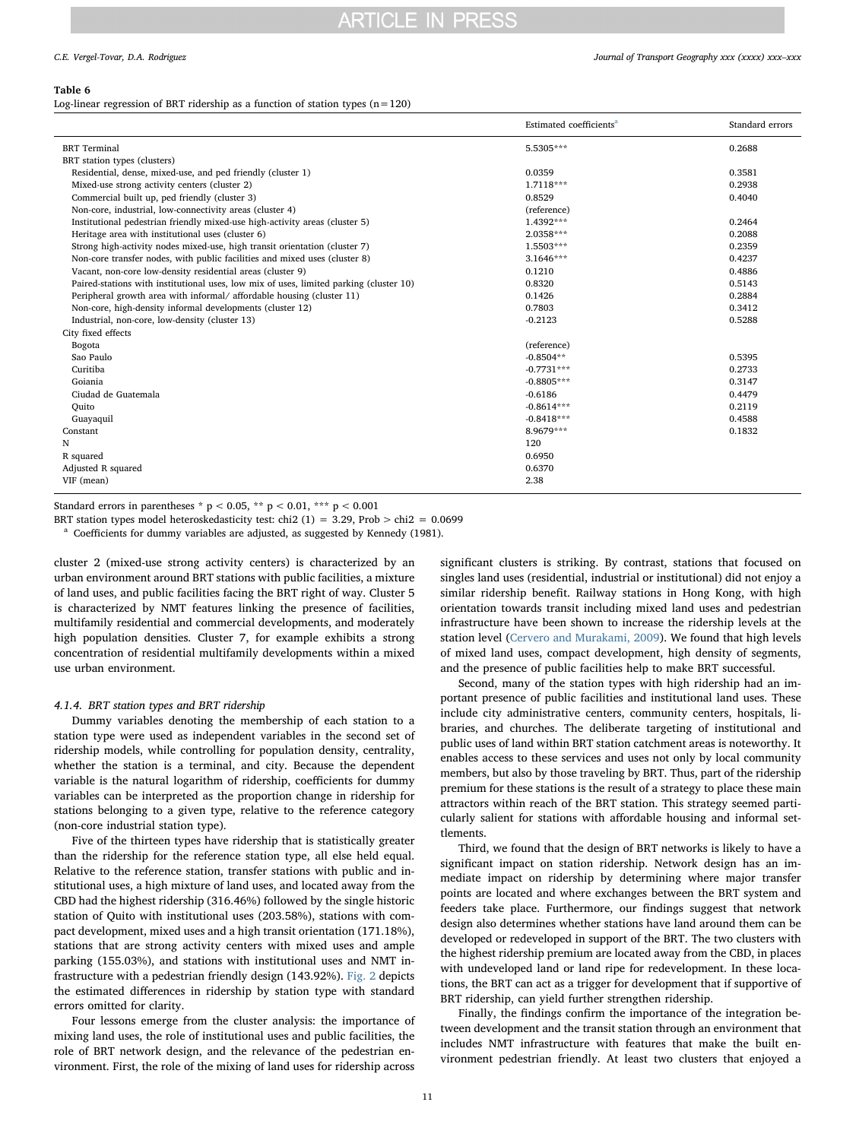### <span id="page-10-0"></span>Table 6

Log-linear regression of BRT ridership as a function of station types (n=120)

|                                                                                        | Estimated coefficients <sup>a</sup> | Standard errors |
|----------------------------------------------------------------------------------------|-------------------------------------|-----------------|
| <b>BRT</b> Terminal                                                                    | 5.5305***                           | 0.2688          |
| BRT station types (clusters)                                                           |                                     |                 |
| Residential, dense, mixed-use, and ped friendly (cluster 1)                            | 0.0359                              | 0.3581          |
| Mixed-use strong activity centers (cluster 2)                                          | $1.7118***$                         | 0.2938          |
| Commercial built up, ped friendly (cluster 3)                                          | 0.8529                              | 0.4040          |
| Non-core, industrial, low-connectivity areas (cluster 4)                               | (reference)                         |                 |
| Institutional pedestrian friendly mixed-use high-activity areas (cluster 5)            | 1.4392***                           | 0.2464          |
| Heritage area with institutional uses (cluster 6)                                      | 2.0358***                           | 0.2088          |
| Strong high-activity nodes mixed-use, high transit orientation (cluster 7)             | 1.5503***                           | 0.2359          |
| Non-core transfer nodes, with public facilities and mixed uses (cluster 8)             | $3.1646***$                         | 0.4237          |
| Vacant, non-core low-density residential areas (cluster 9)                             | 0.1210                              | 0.4886          |
| Paired-stations with institutional uses, low mix of uses, limited parking (cluster 10) | 0.8320                              | 0.5143          |
| Peripheral growth area with informal/ affordable housing (cluster 11)                  | 0.1426                              | 0.2884          |
| Non-core, high-density informal developments (cluster 12)                              | 0.7803                              | 0.3412          |
| Industrial, non-core, low-density (cluster 13)                                         | $-0.2123$                           | 0.5288          |
| City fixed effects                                                                     |                                     |                 |
| Bogota                                                                                 | (reference)                         |                 |
| Sao Paulo                                                                              | $-0.8504**$                         | 0.5395          |
| Curitiba                                                                               | $-0.7731***$                        | 0.2733          |
| Goiania                                                                                | $-0.8805***$                        | 0.3147          |
| Ciudad de Guatemala                                                                    | $-0.6186$                           | 0.4479          |
| Ouito                                                                                  | $-0.8614***$                        | 0.2119          |
| Guayaquil                                                                              | $-0.8418***$                        | 0.4588          |
| Constant                                                                               | 8.9679***                           | 0.1832          |
| N                                                                                      | 120                                 |                 |
| R squared                                                                              | 0.6950                              |                 |
| Adjusted R squared                                                                     | 0.6370                              |                 |
| VIF (mean)                                                                             | 2.38                                |                 |
|                                                                                        |                                     |                 |

Standard errors in parentheses \*  $p < 0.05$ , \*\*  $p < 0.01$ , \*\*\*  $p < 0.001$ 

BRT station types model heteroskedasticity test: chi2 (1) = 3.29, Prob > chi2 =  $0.0699$ 

<span id="page-10-1"></span><sup>a</sup> Coefficients for dummy variables are adjusted, as suggested by Kennedy (1981).

cluster 2 (mixed-use strong activity centers) is characterized by an urban environment around BRT stations with public facilities, a mixture of land uses, and public facilities facing the BRT right of way. Cluster 5 is characterized by NMT features linking the presence of facilities, multifamily residential and commercial developments, and moderately high population densities. Cluster 7, for example exhibits a strong concentration of residential multifamily developments within a mixed use urban environment.

### 4.1.4. BRT station types and BRT ridership

Dummy variables denoting the membership of each station to a station type were used as independent variables in the second set of ridership models, while controlling for population density, centrality, whether the station is a terminal, and city. Because the dependent variable is the natural logarithm of ridership, coefficients for dummy variables can be interpreted as the proportion change in ridership for stations belonging to a given type, relative to the reference category (non-core industrial station type).

Five of the thirteen types have ridership that is statistically greater than the ridership for the reference station type, all else held equal. Relative to the reference station, transfer stations with public and institutional uses, a high mixture of land uses, and located away from the CBD had the highest ridership (316.46%) followed by the single historic station of Quito with institutional uses (203.58%), stations with compact development, mixed uses and a high transit orientation (171.18%), stations that are strong activity centers with mixed uses and ample parking (155.03%), and stations with institutional uses and NMT infrastructure with a pedestrian friendly design (143.92%). [Fig. 2](#page-11-0) depicts the estimated differences in ridership by station type with standard errors omitted for clarity.

Four lessons emerge from the cluster analysis: the importance of mixing land uses, the role of institutional uses and public facilities, the role of BRT network design, and the relevance of the pedestrian environment. First, the role of the mixing of land uses for ridership across

significant clusters is striking. By contrast, stations that focused on singles land uses (residential, industrial or institutional) did not enjoy a similar ridership benefit. Railway stations in Hong Kong, with high orientation towards transit including mixed land uses and pedestrian infrastructure have been shown to increase the ridership levels at the station level ([Cervero and Murakami, 2009](#page-12-29)). We found that high levels of mixed land uses, compact development, high density of segments, and the presence of public facilities help to make BRT successful.

Second, many of the station types with high ridership had an important presence of public facilities and institutional land uses. These include city administrative centers, community centers, hospitals, libraries, and churches. The deliberate targeting of institutional and public uses of land within BRT station catchment areas is noteworthy. It enables access to these services and uses not only by local community members, but also by those traveling by BRT. Thus, part of the ridership premium for these stations is the result of a strategy to place these main attractors within reach of the BRT station. This strategy seemed particularly salient for stations with affordable housing and informal settlements.

Third, we found that the design of BRT networks is likely to have a significant impact on station ridership. Network design has an immediate impact on ridership by determining where major transfer points are located and where exchanges between the BRT system and feeders take place. Furthermore, our findings suggest that network design also determines whether stations have land around them can be developed or redeveloped in support of the BRT. The two clusters with the highest ridership premium are located away from the CBD, in places with undeveloped land or land ripe for redevelopment. In these locations, the BRT can act as a trigger for development that if supportive of BRT ridership, can yield further strengthen ridership.

Finally, the findings confirm the importance of the integration between development and the transit station through an environment that includes NMT infrastructure with features that make the built environment pedestrian friendly. At least two clusters that enjoyed a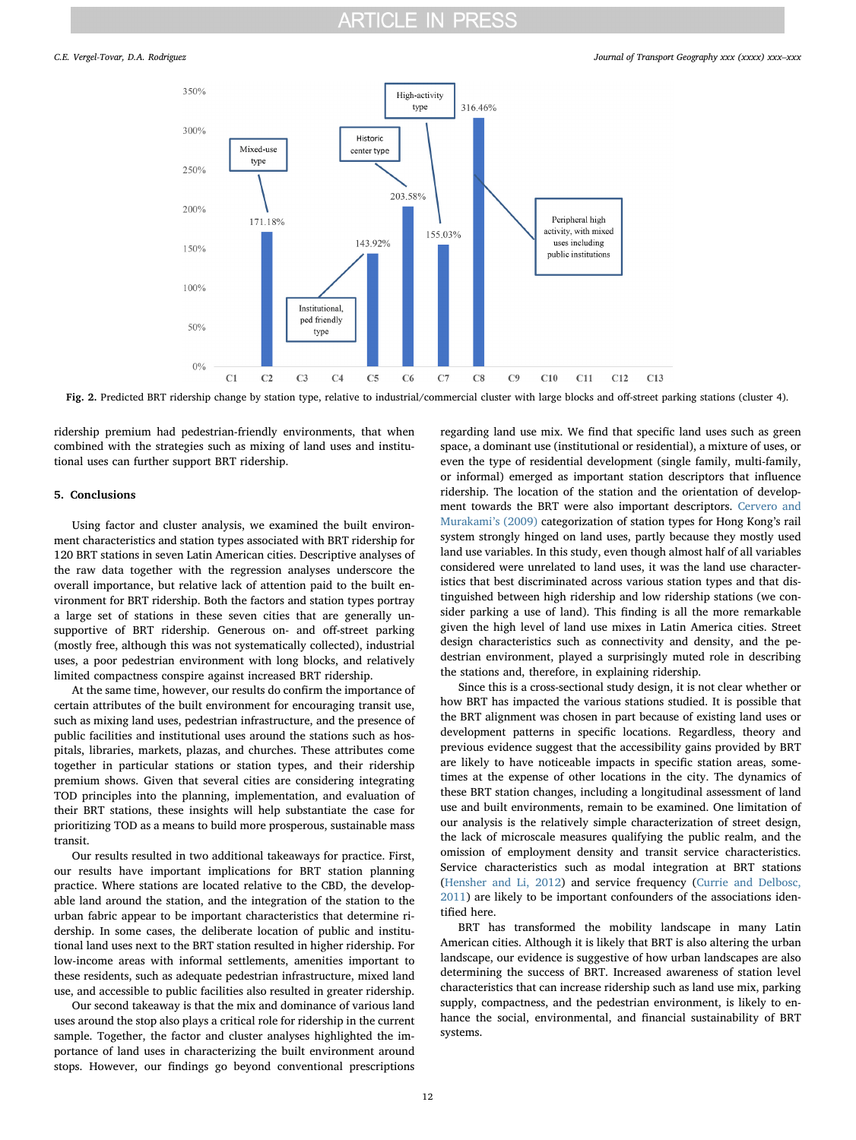<span id="page-11-0"></span>

Fig. 2. Predicted BRT ridership change by station type, relative to industrial/commercial cluster with large blocks and off-street parking stations (cluster 4).

ridership premium had pedestrian-friendly environments, that when combined with the strategies such as mixing of land uses and institutional uses can further support BRT ridership.

### 5. Conclusions

Using factor and cluster analysis, we examined the built environment characteristics and station types associated with BRT ridership for 120 BRT stations in seven Latin American cities. Descriptive analyses of the raw data together with the regression analyses underscore the overall importance, but relative lack of attention paid to the built environment for BRT ridership. Both the factors and station types portray a large set of stations in these seven cities that are generally unsupportive of BRT ridership. Generous on- and off-street parking (mostly free, although this was not systematically collected), industrial uses, a poor pedestrian environment with long blocks, and relatively limited compactness conspire against increased BRT ridership.

At the same time, however, our results do confirm the importance of certain attributes of the built environment for encouraging transit use, such as mixing land uses, pedestrian infrastructure, and the presence of public facilities and institutional uses around the stations such as hospitals, libraries, markets, plazas, and churches. These attributes come together in particular stations or station types, and their ridership premium shows. Given that several cities are considering integrating TOD principles into the planning, implementation, and evaluation of their BRT stations, these insights will help substantiate the case for prioritizing TOD as a means to build more prosperous, sustainable mass transit.

Our results resulted in two additional takeaways for practice. First, our results have important implications for BRT station planning practice. Where stations are located relative to the CBD, the developable land around the station, and the integration of the station to the urban fabric appear to be important characteristics that determine ridership. In some cases, the deliberate location of public and institutional land uses next to the BRT station resulted in higher ridership. For low-income areas with informal settlements, amenities important to these residents, such as adequate pedestrian infrastructure, mixed land use, and accessible to public facilities also resulted in greater ridership.

Our second takeaway is that the mix and dominance of various land uses around the stop also plays a critical role for ridership in the current sample. Together, the factor and cluster analyses highlighted the importance of land uses in characterizing the built environment around stops. However, our findings go beyond conventional prescriptions

regarding land use mix. We find that specific land uses such as green space, a dominant use (institutional or residential), a mixture of uses, or even the type of residential development (single family, multi-family, or informal) emerged as important station descriptors that influence ridership. The location of the station and the orientation of development towards the BRT were also important descriptors. [Cervero and](#page-12-29) [Murakami](#page-12-29)'s (2009) categorization of station types for Hong Kong's rail system strongly hinged on land uses, partly because they mostly used land use variables. In this study, even though almost half of all variables considered were unrelated to land uses, it was the land use characteristics that best discriminated across various station types and that distinguished between high ridership and low ridership stations (we consider parking a use of land). This finding is all the more remarkable given the high level of land use mixes in Latin America cities. Street design characteristics such as connectivity and density, and the pedestrian environment, played a surprisingly muted role in describing the stations and, therefore, in explaining ridership.

Since this is a cross-sectional study design, it is not clear whether or how BRT has impacted the various stations studied. It is possible that the BRT alignment was chosen in part because of existing land uses or development patterns in specific locations. Regardless, theory and previous evidence suggest that the accessibility gains provided by BRT are likely to have noticeable impacts in specific station areas, sometimes at the expense of other locations in the city. The dynamics of these BRT station changes, including a longitudinal assessment of land use and built environments, remain to be examined. One limitation of our analysis is the relatively simple characterization of street design, the lack of microscale measures qualifying the public realm, and the omission of employment density and transit service characteristics. Service characteristics such as modal integration at BRT stations ([Hensher and Li, 2012\)](#page-12-40) and service frequency ([Currie and Delbosc,](#page-12-41) [2011\)](#page-12-41) are likely to be important confounders of the associations identified here.

BRT has transformed the mobility landscape in many Latin American cities. Although it is likely that BRT is also altering the urban landscape, our evidence is suggestive of how urban landscapes are also determining the success of BRT. Increased awareness of station level characteristics that can increase ridership such as land use mix, parking supply, compactness, and the pedestrian environment, is likely to enhance the social, environmental, and financial sustainability of BRT systems.